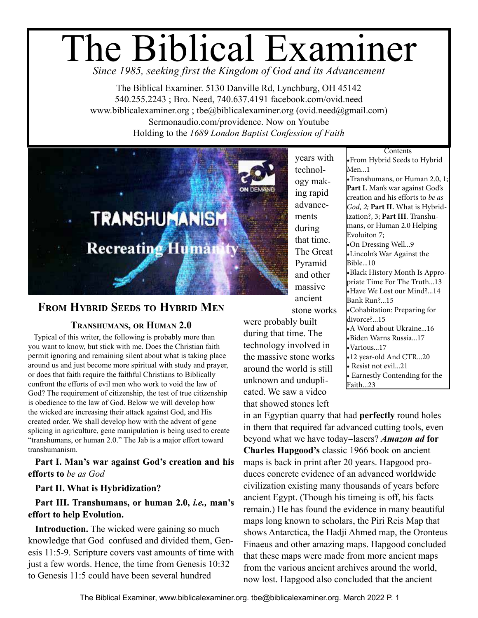# The Biblical Examiner *Since 1985, seeking first the Kingdom of God and its Advancement*

The Biblical Examiner. 5130 Danville Rd, Lynchburg, OH 45142 540.255.2243 ; Bro. Need, 740.637.4191 facebook.com/ovid.need www.biblicalexaminer.org ; tbe@biblicalexaminer.org (ovid.need@gmail.com) Sermonaudio.com/providence. Now on Youtube Holding to the *1689 London Baptist Confession of Faith*



## **From Hybrid Seeds to Hybrid Men**

#### **Transhumans, or Human 2.0**

Typical of this writer, the following is probably more than you want to know, but stick with me. Does the Christian faith permit ignoring and remaining silent about what is taking place around us and just become more spiritual with study and prayer, or does that faith require the faithful Christians to Biblically confront the efforts of evil men who work to void the law of God? The requirement of citizenship, the test of true citizenship is obedience to the law of God. Below we will develop how the wicked are increasing their attack against God, and His created order. We shall develop how with the advent of gene splicing in agriculture, gene manipulation is being used to create "transhumans, or human 2.0." The Jab is a major effort toward transhumanism.

**Part I. Man's war against God's creation and his efforts to** *be as God*

#### **Part II. What is Hybridization?**

#### **Part III. Transhumans, or human 2.0,** *i.e.,* **man's effort to help Evolution.**

**Introduction.** The wicked were gaining so much knowledge that God confused and divided them, Genesis 11:5-9. Scripture covers vast amounts of time with just a few words. Hence, the time from Genesis 10:32 to Genesis 11:5 could have been several hundred

years with technology making rapid advancements during that time. The Great Pyramid and other massive ancient

stone works

were probably built during that time. The technology involved in the massive stone works around the world is still unknown and unduplicated. We saw a video that showed stones left

**Contents** •From Hybrid Seeds to Hybrid Men...1 •Transhumans, or Human 2.0, 1[;](#page-1-0)  **Part I.** [Man's war against God's](#page-1-0)  [creation and his efforts to](#page-1-0) *be as [God, 2](#page-1-0);* **Part II.** [What is Hybrid](#page-2-0)[ization?, 3;](#page-2-0) **Part III**[. Transhu](#page-6-0)[mans, or Human 2.0 Helping](#page-6-0)  [Evoluiton 7](#page-6-0); •[On Dressing Well...9](#page-8-0) •[Lincoln's War Against the](#page-9-0)  [Bible...10](#page-9-0) •[Black History Month Is Appro](#page-12-0)[priate Time For The Truth...13](#page-12-0) •[Have We Lost our Mind?...14](#page-13-0) [Bank Run?...15](#page-14-0) •[Cohabitation: Preparing for](#page-14-0)  [divorce?...15](#page-14-0) •[A Word about Ukraine...16](#page-15-0) •[Biden Warns Russia...17](#page-16-0) •[Various...17](#page-16-0) •[12 year-old And CTR...20](#page-19-0) • [Resist not evil...21](#page-20-0) • [Earnestly Contending for the](#page-22-0)  [Faith...23](#page-22-0)

in an Egyptian quarry that had **perfectly** round holes in them that required far advanced cutting tools, even beyond what we have today-lasers? *Amazon ad* **for Charles Hapgood's** classic 1966 book on ancient maps is back in print after 20 years. Hapgood produces concrete evidence of an advanced worldwide civilization existing many thousands of years before ancient Egypt. (Though his timeing is off, his facts remain.) He has found the evidence in many beautiful maps long known to scholars, the Piri Reis Map that shows Antarctica, the Hadji Ahmed map, the Oronteus Finaeus and other amazing maps. Hapgood concluded that these maps were made from more ancient maps from the various ancient archives around the world, now lost. Hapgood also concluded that the ancient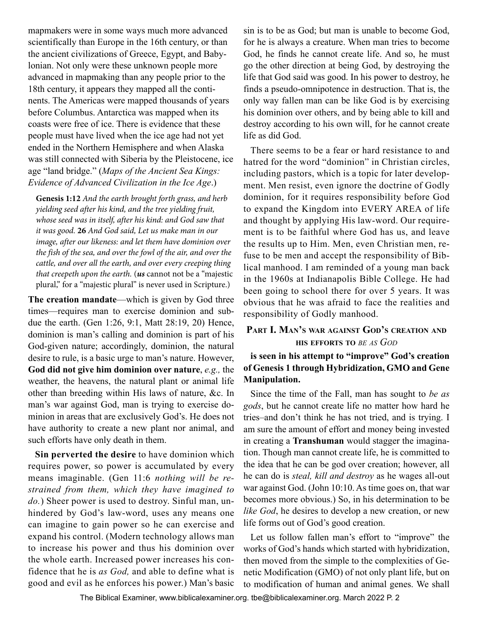<span id="page-1-0"></span>mapmakers were in some ways much more advanced scientifically than Europe in the 16th century, or than the ancient civilizations of Greece, Egypt, and Babylonian. Not only were these unknown people more advanced in mapmaking than any people prior to the 18th century, it appears they mapped all the continents. The Americas were mapped thousands of years before Columbus. Antarctica was mapped when its coasts were free of ice. There is evidence that these people must have lived when the ice age had not yet ended in the Northern Hemisphere and when Alaska was still connected with Siberia by the Pleistocene, ice age "land bridge." (*Maps of the Ancient Sea Kings: Evidence of Advanced Civilization in the Ice Age*.)

**Genesis 1:12** *And the earth brought forth grass, and herb yielding seed after his kind, and the tree yielding fruit, whose seed was in itself, after his kind: and God saw that it was good.* **26** *And God said, Let us make man in our image, after our likeness: and let them have dominion over the fish of the sea, and over the fowl of the air, and over the cattle, and over all the earth, and over every creeping thing that creepeth upon the earth.* (*us* cannot not be a "majestic plural," for a "majestic plural" is never used in Scripture.)

**The creation mandate**—which is given by God three times—requires man to exercise dominion and subdue the earth. (Gen 1:26, 9:1, Matt 28:19, 20) Hence, dominion is man's calling and dominion is part of his God-given nature; accordingly, dominion, the natural desire to rule, is a basic urge to man's nature. However, **God did not give him dominion over nature**, *e.g.,* the weather, the heavens, the natural plant or animal life other than breeding within His laws of nature, &c. In man's war against God, man is trying to exercise dominion in areas that are exclusively God's. He does not have authority to create a new plant nor animal, and such efforts have only death in them.

**Sin perverted the desire** to have dominion which requires power, so power is accumulated by every means imaginable. (Gen 11:6 *nothing will be restrained from them, which they have imagined to do.*) Sheer power is used to destroy. Sinful man, unhindered by God's law-word, uses any means one can imagine to gain power so he can exercise and expand his control. (Modern technology allows man to increase his power and thus his dominion over the whole earth. Increased power increases his confidence that he is *as God,* and able to define what is good and evil as he enforces his power.) Man's basic

sin is to be as God; but man is unable to become God, for he is always a creature. When man tries to become God, he finds he cannot create life. And so, he must go the other direction at being God, by destroying the life that God said was good. In his power to destroy, he finds a pseudo-omnipotence in destruction. That is, the only way fallen man can be like God is by exercising his dominion over others, and by being able to kill and destroy according to his own will, for he cannot create life as did God.

There seems to be a fear or hard resistance to and hatred for the word "dominion" in Christian circles, including pastors, which is a topic for later development. Men resist, even ignore the doctrine of Godly dominion, for it requires responsibility before God to expand the Kingdom into EVERY AREA of life and thought by applying His law-word. Our requirement is to be faithful where God has us, and leave the results up to Him. Men, even Christian men, refuse to be men and accept the responsibility of Biblical manhood. I am reminded of a young man back in the 1960s at Indianapolis Bible College. He had been going to school there for over 5 years. It was obvious that he was afraid to face the realities and responsibility of Godly manhood.

#### **Part I. Man's war against God's creation and his efforts to** *be as God*

#### **is seen in his attempt to "improve" God's creation of Genesis 1 through Hybridization, GMO and Gene Manipulation.**

Since the time of the Fall, man has sought to *be as gods*, but he cannot create life no matter how hard he tries–and don't think he has not tried, and is trying. I am sure the amount of effort and money being invested in creating a **Transhuman** would stagger the imagination. Though man cannot create life, he is committed to the idea that he can be god over creation; however, all he can do is *steal, kill and destroy* as he wages all-out war against God. (John 10:10. As time goes on, that war becomes more obvious.) So, in his determination to be *like God*, he desires to develop a new creation, or new life forms out of God's good creation.

Let us follow fallen man's effort to "improve" the works of God's hands which started with hybridization, then moved from the simple to the complexities of Genetic Modification (GMO) of not only plant life, but on to modification of human and animal genes. We shall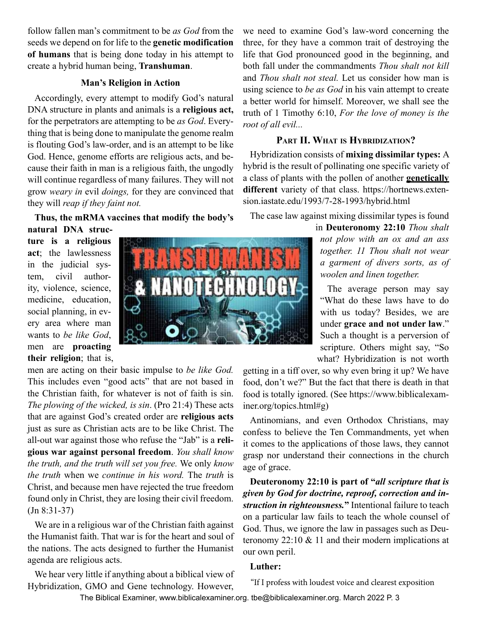<span id="page-2-0"></span>follow fallen man's commitment to be *as God* from the seeds we depend on for life to the **genetic modification of humans** that is being done today in his attempt to create a hybrid human being, **Transhuman**.

#### **Man's Religion in Action**

Accordingly, every attempt to modify God's natural DNA structure in plants and animals is a **religious act,**  for the perpetrators are attempting to be *as God*. Everything that is being done to manipulate the genome realm is flouting God's law-order, and is an attempt to be like God. Hence, genome efforts are religious acts, and because their faith in man is a religious faith, the ungodly will continue regardless of many failures. They will not grow *weary in* evil *doings,* for they are convinced that they will *reap if they faint not.*

**Thus, the mRMA vaccines that modify the body's** 

**natural DNA structure is a religious act**; the lawlessness in the judicial system, civil authority, violence, science, medicine, education, social planning, in every area where man wants to *be like God*, men are **proacting** 

**their religion**; that is, men are acting on their basic impulse to *be like God.* This includes even "good acts" that are not based in the Christian faith, for whatever is not of faith is sin. *The plowing of the wicked, is sin*. (Pro 21:4) These acts that are against God's created order are **religious acts** just as sure as Christian acts are to be like Christ. The all-out war against those who refuse the "Jab" is a **religious war against personal freedom**. *You shall know the truth, and the truth will set you free.* We only *know the truth* when we *continue in his word.* The *truth* is Christ, and because men have rejected the true freedom found only in Christ, they are losing their civil freedom. (Jn 8:31-37)

We are in a religious war of the Christian faith against the Humanist faith. That war is for the heart and soul of the nations. The acts designed to further the Humanist agenda are religious acts.

We hear very little if anything about a biblical view of Hybridization, GMO and Gene technology. However,

a class of plants with the pollen of another **genetically different** variety of that class. https://hortnews.extension.iastate.edu/1993/7-28-1993/hybrid.html

**Part II. What is Hybridization?** Hybridization consists of **mixing dissimilar types:** A hybrid is the result of pollinating one specific variety of

we need to examine God's law-word concerning the three, for they have a common trait of destroying the life that God pronounced good in the beginning, and both fall under the commandments *Thou shalt not kill* and *Thou shalt not steal.* Let us consider how man is using science to *be as God* in his vain attempt to create a better world for himself. Moreover, we shall see the truth of 1 Timothy 6:10, *For the love of money is the* 

The case law against mixing dissimilar types is found

in **Deuteronomy 22:10** *Thou shalt not plow with an ox and an ass together. 11 Thou shalt not wear a garment of divers sorts, as of woolen and linen together.*

The average person may say "What do these laws have to do with us today? Besides, we are under **grace and not under law**." Such a thought is a perversion of scripture. Others might say, "So what? Hybridization is not worth

getting in a tiff over, so why even bring it up? We have food, don't we?" But the fact that there is death in that food is totally ignored. (See https://www.biblicalexaminer.org/topics.html#g)

Antinomians, and even Orthodox Christians, may confess to believe the Ten Commandments, yet when it comes to the applications of those laws, they cannot grasp nor understand their connections in the church age of grace.

**Deuteronomy 22:10 is part of "***all scripture that is given by God for doctrine, reproof, correction and instruction in righteousness.***"** Intentional failure to teach on a particular law fails to teach the whole counsel of God. Thus, we ignore the law in passages such as Deuteronomy  $22:10 \& 11$  and their modern implications at our own peril.

#### **Luther:**

"If I profess with loudest voice and clearest exposition

The Biblical Examiner, www.biblicalexaminer.org. tbe@biblicalexaminer.org. March 2022 P. 3



*root of all evil...*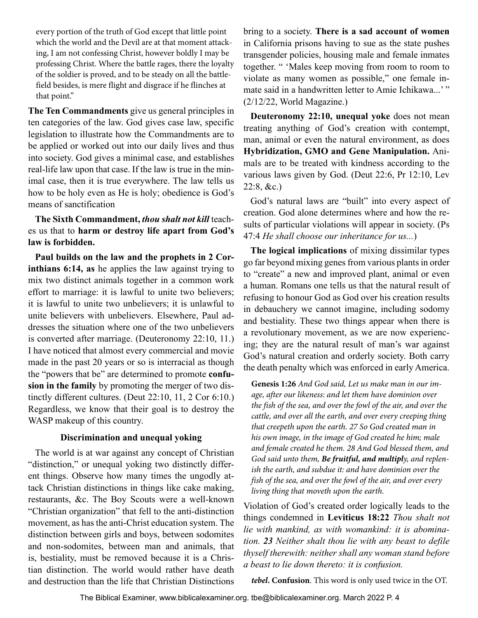every portion of the truth of God except that little point which the world and the Devil are at that moment attacking, I am not confessing Christ, however boldly I may be professing Christ. Where the battle rages, there the loyalty of the soldier is proved, and to be steady on all the battlefield besides, is mere flight and disgrace if he flinches at that point."

**The Ten Commandments** give us general principles in ten categories of the law. God gives case law, specific legislation to illustrate how the Commandments are to be applied or worked out into our daily lives and thus into society. God gives a minimal case, and establishes real-life law upon that case. If the law is true in the minimal case, then it is true everywhere. The law tells us how to be holy even as He is holy; obedience is God's means of sanctification

**The Sixth Commandment,** *thou shalt not kill* teaches us that to **harm or destroy life apart from God's law is forbidden.**

**Paul builds on the law and the prophets in 2 Corinthians 6:14, as** he applies the law against trying to mix two distinct animals together in a common work effort to marriage: it is lawful to unite two believers; it is lawful to unite two unbelievers; it is unlawful to unite believers with unbelievers. Elsewhere, Paul addresses the situation where one of the two unbelievers is converted after marriage. (Deuteronomy 22:10, 11.) I have noticed that almost every commercial and movie made in the past 20 years or so is interracial as though the "powers that be" are determined to promote **confusion in the family** by promoting the merger of two distinctly different cultures. (Deut 22:10, 11, 2 Cor 6:10.) Regardless, we know that their goal is to destroy the WASP makeup of this country.

#### **Discrimination and unequal yoking**

The world is at war against any concept of Christian "distinction," or unequal yoking two distinctly different things. Observe how many times the ungodly attack Christian distinctions in things like cake making, restaurants, &c. The Boy Scouts were a well-known "Christian organization" that fell to the anti-distinction movement, as has the anti-Christ education system. The distinction between girls and boys, between sodomites and non-sodomites, between man and animals, that is, bestiality, must be removed because it is a Christian distinction. The world would rather have death and destruction than the life that Christian Distinctions

bring to a society. **There is a sad account of women** in California prisons having to sue as the state pushes transgender policies, housing male and female inmates together. " 'Males keep moving from room to room to violate as many women as possible," one female inmate said in a handwritten letter to Amie Ichikawa...'" (2/12/22, World Magazine.)

**Deuteronomy 22:10, unequal yoke** does not mean treating anything of God's creation with contempt, man, animal or even the natural environment, as does **Hybridization, GMO and Gene Manipulation.** Animals are to be treated with kindness according to the various laws given by God. (Deut 22:6, Pr 12:10, Lev 22:8, &c.)

God's natural laws are "built" into every aspect of creation. God alone determines where and how the results of particular violations will appear in society. (Ps 47:4 *He shall choose our inheritance for us...*)

**The logical implications** of mixing dissimilar types go far beyond mixing genes from various plants in order to "create" a new and improved plant, animal or even a human. Romans one tells us that the natural result of refusing to honour God as God over his creation results in debauchery we cannot imagine, including sodomy and bestiality. These two things appear when there is a revolutionary movement, as we are now experiencing; they are the natural result of man's war against God's natural creation and orderly society. Both carry the death penalty which was enforced in early America.

**Genesis 1:26** *And God said, Let us make man in our image, after our likeness: and let them have dominion over the fish of the sea, and over the fowl of the air, and over the cattle, and over all the earth, and over every creeping thing that creepeth upon the earth. 27 So God created man in his own image, in the image of God created he him; male and female created he them. 28 And God blessed them, and God said unto them, Be fruitful, and multiply, and replenish the earth, and subdue it: and have dominion over the fish of the sea, and over the fowl of the air, and over every living thing that moveth upon the earth.*

Violation of God's created order logically leads to the things condemned in **Leviticus 18:22** *Thou shalt not lie with mankind, as with womankind: it is abomination. 23 Neither shalt thou lie with any beast to defile thyself therewith: neither shall any woman stand before a beast to lie down thereto: it is confusion.*

*tebel***. Confusion**. This word is only used twice in the OT.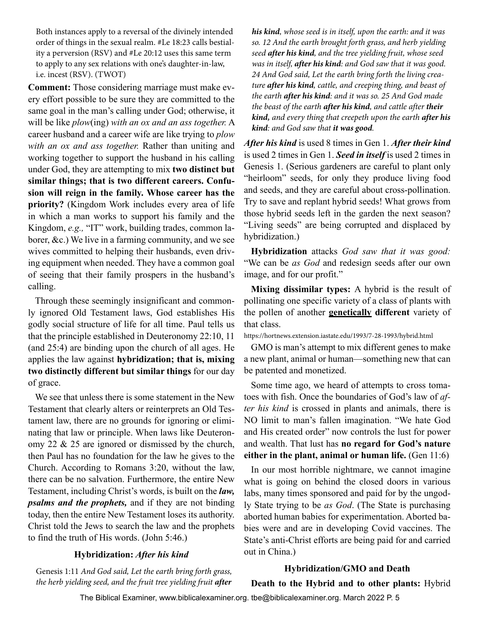Both instances apply to a reversal of the divinely intended order of things in the sexual realm. #Le 18:23 calls bestiality a perversion (RSV) and #Le 20:12 uses this same term to apply to any sex relations with one's daughter-in-law, i.e. incest (RSV). (TWOT)

**Comment:** Those considering marriage must make every effort possible to be sure they are committed to the same goal in the man's calling under God; otherwise, it will be like *plow*(ing) *with an ox and an ass together.* A career husband and a career wife are like trying to *plow with an ox and ass together.* Rather than uniting and working together to support the husband in his calling under God, they are attempting to mix **two distinct but similar things; that is two different careers. Confusion will reign in the family. Whose career has the priority?** (Kingdom Work includes every area of life in which a man works to support his family and the Kingdom, *e.g.,* "IT" work, building trades, common laborer, &c.) We live in a farming community, and we see wives committed to helping their husbands, even driving equipment when needed. They have a common goal of seeing that their family prospers in the husband's calling.

Through these seemingly insignificant and commonly ignored Old Testament laws, God establishes His godly social structure of life for all time. Paul tells us that the principle established in Deuteronomy 22:10, 11 (and 25:4) are binding upon the church of all ages. He applies the law against **hybridization; that is, mixing two distinctly different but similar things** for our day of grace.

We see that unless there is some statement in the New Testament that clearly alters or reinterprets an Old Testament law, there are no grounds for ignoring or eliminating that law or principle. When laws like Deuteronomy 22 & 25 are ignored or dismissed by the church, then Paul has no foundation for the law he gives to the Church. According to Romans 3:20, without the law, there can be no salvation. Furthermore, the entire New Testament, including Christ's words, is built on the *law, psalms and the prophets,* and if they are not binding today, then the entire New Testament loses its authority. Christ told the Jews to search the law and the prophets to find the truth of His words. (John 5:46.)

#### **Hybridization:** *After his kind*

Genesis 1:11 *And God said, Let the earth bring forth grass, the herb yielding seed, and the fruit tree yielding fruit after*  *his kind, whose seed is in itself, upon the earth: and it was so. 12 And the earth brought forth grass, and herb yielding seed after his kind, and the tree yielding fruit, whose seed was in itself, after his kind: and God saw that it was good. 24 And God said, Let the earth bring forth the living creature after his kind, cattle, and creeping thing, and beast of the earth after his kind: and it was so. 25 And God made the beast of the earth after his kind, and cattle after their kind, and every thing that creepeth upon the earth after his kind: and God saw that it was good.* 

*After his kind* is used 8 times in Gen 1. *After their kind* is used 2 times in Gen 1. *Seed in itself* is used 2 times in Genesis 1. (Serious gardeners are careful to plant only "heirloom" seeds, for only they produce living food and seeds, and they are careful about cross-pollination. Try to save and replant hybrid seeds! What grows from those hybrid seeds left in the garden the next season? "Living seeds" are being corrupted and displaced by hybridization.)

**Hybridization** attacks *God saw that it was good:*  "We can be *as God* and redesign seeds after our own image, and for our profit."

**Mixing dissimilar types:** A hybrid is the result of pollinating one specific variety of a class of plants with the pollen of another **genetically different** variety of that class.

https://hortnews.extension.iastate.edu/1993/7-28-1993/hybrid.html

GMO is man's attempt to mix different genes to make a new plant, animal or human—something new that can be patented and monetized.

Some time ago, we heard of attempts to cross tomatoes with fish. Once the boundaries of God's law of *after his kind* is crossed in plants and animals, there is NO limit to man's fallen imagination. "We hate God and His created order" now controls the lust for power and wealth. That lust has **no regard for God's nature either in the plant, animal or human life.** (Gen 11:6)

In our most horrible nightmare, we cannot imagine what is going on behind the closed doors in various labs, many times sponsored and paid for by the ungodly State trying to be *as God*. (The State is purchasing aborted human babies for experimentation. Aborted babies were and are in developing Covid vaccines. The State's anti-Christ efforts are being paid for and carried out in China.)

#### **Hybridization/GMO and Death**

**Death to the Hybrid and to other plants:** Hybrid

The Biblical Examiner, www.biblicalexaminer.org. tbe@biblicalexaminer.org. March 2022 P. 5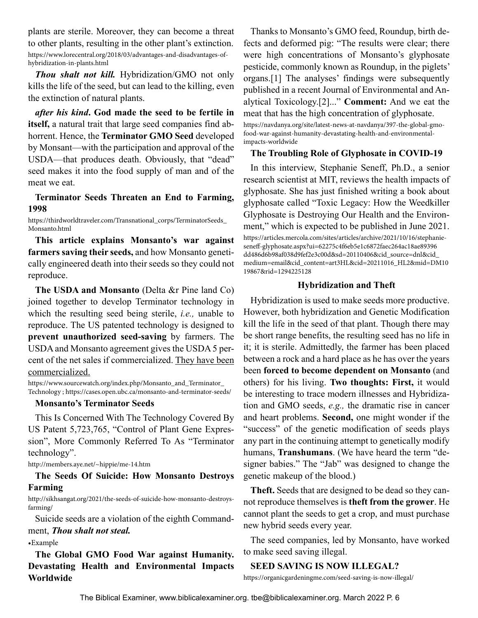plants are sterile. Moreover, they can become a threat to other plants, resulting in the other plant's extinction. https://www.lorecentral.org/2018/03/advantages-and-disadvantages-ofhybridization-in-plants.html

*Thou shalt not kill.* Hybridization/GMO not only kills the life of the seed, but can lead to the killing, even the extinction of natural plants.

*after his kind***. God made the seed to be fertile in itself,** a natural trait that large seed companies find abhorrent. Hence, the **Terminator GMO Seed** developed by Monsant—with the participation and approval of the USDA—that produces death. Obviously, that "dead" seed makes it into the food supply of man and of the meat we eat.

#### **Terminator Seeds Threaten an End to Farming, 1998**

https://thirdworldtraveler.com/Transnational\_corps/TerminatorSeeds\_ Monsanto.html

**This article explains Monsanto's war against farmers saving their seeds,** and how Monsanto genetically engineered death into their seeds so they could not reproduce.

**The USDA and Monsanto** (Delta &r Pine land Co) joined together to develop Terminator technology in which the resulting seed being sterile, *i.e.,* unable to reproduce. The US patented technology is designed to **prevent unauthorized seed-saving** by farmers. The USDA and Monsanto agreement gives the USDA 5 percent of the net sales if commercialized. They have been commercialized.

https://www.sourcewatch.org/index.php/Monsanto\_and\_Terminator\_ Technology ; https://cases.open.ubc.ca/monsanto-and-terminator-seeds/

#### **Monsanto's Terminator Seeds**

This Is Concerned With The Technology Covered By US Patent 5,723,765, "Control of Plant Gene Expression", More Commonly Referred To As "Terminator technology".

http://members.aye.net/~hippie/me-14.htm

#### **The Seeds Of Suicide: How Monsanto Destroys Farming**

http://sikhsangat.org/2021/the-seeds-of-suicide-how-monsanto-destroysfarming/

Suicide seeds are a violation of the eighth Commandment, *Thou shalt not steal.*

#### •Example

**The Global GMO Food War against Humanity. Devastating Health and Environmental Impacts Worldwide**

Thanks to Monsanto's GMO feed, Roundup, birth defects and deformed pig: "The results were clear; there were high concentrations of Monsanto's glyphosate pesticide, commonly known as Roundup, in the piglets' organs.[1] The analyses' findings were subsequently published in a recent Journal of Environmental and Analytical Toxicology.[2]..." **Comment:** And we eat the meat that has the high concentration of glyphosate. https://navdanya.org/site/latest-news-at-navdanya/397-the-global-gmofood-war-against-humanity-devastating-health-and-environmentalimpacts-worldwide

#### **The Troubling Role of Glyphosate in COVID-19**

In this interview, Stephanie Seneff, Ph.D., a senior research scientist at MIT, reviews the health impacts of glyphosate. She has just finished writing a book about glyphosate called "Toxic Legacy: How the Weedkiller Glyphosate is Destroying Our Health and the Environment," which is expected to be published in June 2021. https://articles.mercola.com/sites/articles/archive/2021/10/16/stephanieseneff-glyphosate.aspx?ui=62275c4f6eb5e1c6872faec264ac18ae89396 dd486d6b98af038d9fef2e3c00d&sd=20110406&cid\_source=dnl&cid\_ medium=email&cid\_content=art3HL&cid=20211016\_HL2&mid=DM10 19867&rid=1294225128

#### **Hybridization and Theft**

Hybridization is used to make seeds more productive. However, both hybridization and Genetic Modification kill the life in the seed of that plant. Though there may be short range benefits, the resulting seed has no life in it; it is sterile. Admittedly, the farmer has been placed between a rock and a hard place as he has over the years been **forced to become dependent on Monsanto** (and others) for his living. **Two thoughts: First,** it would be interesting to trace modern illnesses and Hybridization and GMO seeds, *e.g.,* the dramatic rise in cancer and heart problems. **Second,** one might wonder if the "success" of the genetic modification of seeds plays any part in the continuing attempt to genetically modify humans, **Transhumans**. (We have heard the term "designer babies." The "Jab" was designed to change the genetic makeup of the blood.)

**Theft.** Seeds that are designed to be dead so they cannot reproduce themselves is **theft from the grower**. He cannot plant the seeds to get a crop, and must purchase new hybrid seeds every year.

The seed companies, led by Monsanto, have worked to make seed saving illegal.

#### **SEED SAVING IS NOW ILLEGAL?**

https://organicgardeningme.com/seed-saving-is-now-illegal/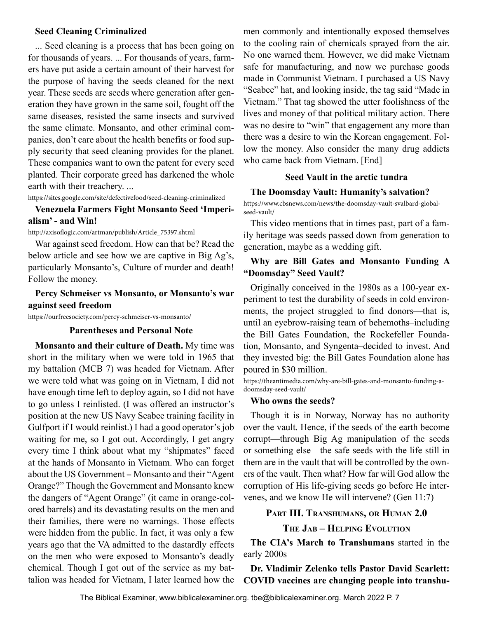#### <span id="page-6-0"></span>**Seed Cleaning Criminalized**

... Seed cleaning is a process that has been going on for thousands of years. ... For thousands of years, farmers have put aside a certain amount of their harvest for the purpose of having the seeds cleaned for the next year. These seeds are seeds where generation after generation they have grown in the same soil, fought off the same diseases, resisted the same insects and survived the same climate. Monsanto, and other criminal companies, don't care about the health benefits or food supply security that seed cleaning provides for the planet. These companies want to own the patent for every seed planted. Their corporate greed has darkened the whole earth with their treachery. ...

https://sites.google.com/site/defectivefood/seed-cleaning-criminalized

#### **Venezuela Farmers Fight Monsanto Seed 'Imperialism' - and Win!**

http://axisoflogic.com/artman/publish/Article\_75397.shtml

War against seed freedom. How can that be? Read the below article and see how we are captive in Big Ag's, particularly Monsanto's, Culture of murder and death! Follow the money.

#### **Percy Schmeiser vs Monsanto, or Monsanto's war against seed freedom**

https://ourfreesociety.com/percy-schmeiser-vs-monsanto/

#### **Parentheses and Personal Note**

**Monsanto and their culture of Death.** My time was short in the military when we were told in 1965 that my battalion (MCB 7) was headed for Vietnam. After we were told what was going on in Vietnam, I did not have enough time left to deploy again, so I did not have to go unless I reinlisted. (I was offered an instructor's position at the new US Navy Seabee training facility in Gulfport if I would reinlist.) I had a good operator's job waiting for me, so I got out. Accordingly, I get angry every time I think about what my "shipmates" faced at the hands of Monsanto in Vietnam. Who can forget about the US Government - Monsanto and their "Agent Orange?" Though the Government and Monsanto knew the dangers of "Agent Orange" (it came in orange-colored barrels) and its devastating results on the men and their families, there were no warnings. Those effects were hidden from the public. In fact, it was only a few years ago that the VA admitted to the dastardly effects on the men who were exposed to Monsanto's deadly chemical. Though I got out of the service as my battalion was headed for Vietnam, I later learned how the men commonly and intentionally exposed themselves to the cooling rain of chemicals sprayed from the air. No one warned them. However, we did make Vietnam safe for manufacturing, and now we purchase goods made in Communist Vietnam. I purchased a US Navy "Seabee" hat, and looking inside, the tag said "Made in Vietnam." That tag showed the utter foolishness of the lives and money of that political military action. There was no desire to "win" that engagement any more than there was a desire to win the Korean engagement. Follow the money. Also consider the many drug addicts who came back from Vietnam. [End]

#### **Seed Vault in the arctic tundra**

#### **The Doomsday Vault: Humanity's salvation?**

https://www.cbsnews.com/news/the-doomsday-vault-svalbard-globalseed-vault/

This video mentions that in times past, part of a family heritage was seeds passed down from generation to generation, maybe as a wedding gift.

#### **Why are Bill Gates and Monsanto Funding A "Doomsday" Seed Vault?**

Originally conceived in the 1980s as a 100-year experiment to test the durability of seeds in cold environments, the project struggled to find donors—that is, until an eyebrow-raising team of behemoths–including the Bill Gates Foundation, the Rockefeller Foundation, Monsanto, and Syngenta–decided to invest. And they invested big: the Bill Gates Foundation alone has poured in \$30 million.

https://theantimedia.com/why-are-bill-gates-and-monsanto-funding-adoomsday-seed-vault/

#### **Who owns the seeds?**

Though it is in Norway, Norway has no authority over the vault. Hence, if the seeds of the earth become corrupt—through Big Ag manipulation of the seeds or something else—the safe seeds with the life still in them are in the vault that will be controlled by the owners of the vault. Then what? How far will God allow the corruption of His life-giving seeds go before He intervenes, and we know He will intervene? (Gen 11:7)

#### **Part III. Transhumans, or Human 2.0**

**The Jab – Helping Evolution**

**The CIA's March to Transhumans** started in the early 2000s

**Dr. Vladimir Zelenko tells Pastor David Scarlett: COVID vaccines are changing people into transhu-**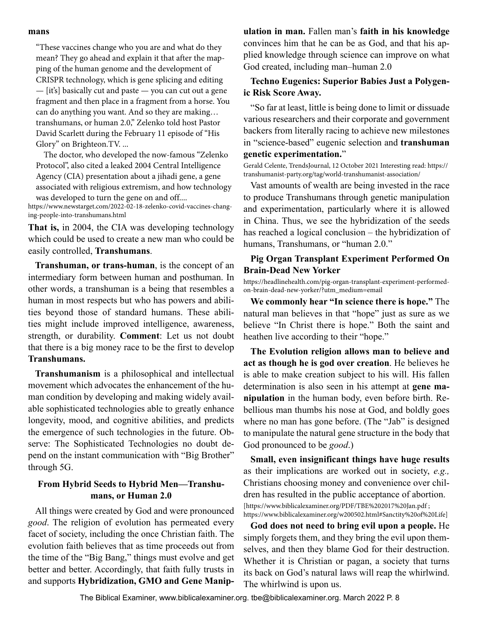#### **mans**

"These vaccines change who you are and what do they mean? They go ahead and explain it that after the mapping of the human genome and the development of CRISPR technology, which is gene splicing and editing — [it's] basically cut and paste — you can cut out a gene fragment and then place in a fragment from a horse. You can do anything you want. And so they are making… transhumans, or human 2.0," Zelenko told host Pastor David Scarlett during the February 11 episode of "His Glory" on Brighteon.TV. ...

The doctor, who developed the now-famous "Zelenko Protocol", also cited a leaked 2004 Central Intelligence Agency (CIA) presentation about a jihadi gene, a gene associated with religious extremism, and how technology was developed to turn the gene on and off....

https://www.newstarget.com/2022-02-18-zelenko-covid-vaccines-changing-people-into-transhumans.html

**That is,** in 2004, the CIA was developing technology which could be used to create a new man who could be easily controlled, **Transhumans**.

**Transhuman, or trans-human**, is the concept of an intermediary form between human and posthuman. In other words, a transhuman is a being that resembles a human in most respects but who has powers and abilities beyond those of standard humans. These abilities might include improved intelligence, awareness, strength, or durability. **Comment**: Let us not doubt that there is a big money race to be the first to develop **Transhumans.**

**Transhumanism** is a philosophical and intellectual movement which advocates the enhancement of the human condition by developing and making widely available sophisticated technologies able to greatly enhance longevity, mood, and cognitive abilities, and predicts the emergence of such technologies in the future. Observe: The Sophisticated Technologies no doubt depend on the instant communication with "Big Brother" through 5G.

#### **From Hybrid Seeds to Hybrid Men—Transhumans, or Human 2.0**

All things were created by God and were pronounced *good*. The religion of evolution has permeated every facet of society, including the once Christian faith. The evolution faith believes that as time proceeds out from the time of the "Big Bang," things must evolve and get better and better. Accordingly, that faith fully trusts in and supports **Hybridization, GMO and Gene Manip-** **ulation in man.** Fallen man's **faith in his knowledge** convinces him that he can be as God, and that his applied knowledge through science can improve on what God created, including man–human 2.0

#### **Techno Eugenics: Superior Babies Just a Polygenic Risk Score Away.**

"So far at least, little is being done to limit or dissuade various researchers and their corporate and government backers from literally racing to achieve new milestones in "science-based" eugenic selection and **transhuman genetic experimentation.**"

Gerald Celente, TrendsJournal, 12 October 2021 Interesting read: https:// transhumanist-party.org/tag/world-transhumanist-association/

Vast amounts of wealth are being invested in the race to produce Transhumans through genetic manipulation and experimentation, particularly where it is allowed in China. Thus, we see the hybridization of the seeds has reached a logical conclusion – the hybridization of humans, Transhumans, or "human 2.0."

#### **Pig Organ Transplant Experiment Performed On Brain-Dead New Yorker**

https://headlinehealth.com/pig-organ-transplant-experiment-performedon-brain-dead-new-yorker/?utm\_medium=email

**We commonly hear "In science there is hope."** The natural man believes in that "hope" just as sure as we believe "In Christ there is hope." Both the saint and heathen live according to their "hope."

**The Evolution religion allows man to believe and act as though he is god over creation**. He believes he is able to make creation subject to his will. His fallen determination is also seen in his attempt at **gene manipulation** in the human body, even before birth. Rebellious man thumbs his nose at God, and boldly goes where no man has gone before. (The "Jab" is designed to manipulate the natural gene structure in the body that God pronounced to be *good*.)

**Small, even insignificant things have huge results**  as their implications are worked out in society, *e.g.,* Christians choosing money and convenience over children has resulted in the public acceptance of abortion.

[https://www.biblicalexaminer.org/PDF/TBE%202017%20Jan.pdf ; https://www.biblicalexaminer.org/w200502.html#Sanctity%20of%20Life]

**God does not need to bring evil upon a people.** He simply forgets them, and they bring the evil upon themselves, and then they blame God for their destruction. Whether it is Christian or pagan, a society that turns its back on God's natural laws will reap the whirlwind. The whirlwind is upon us.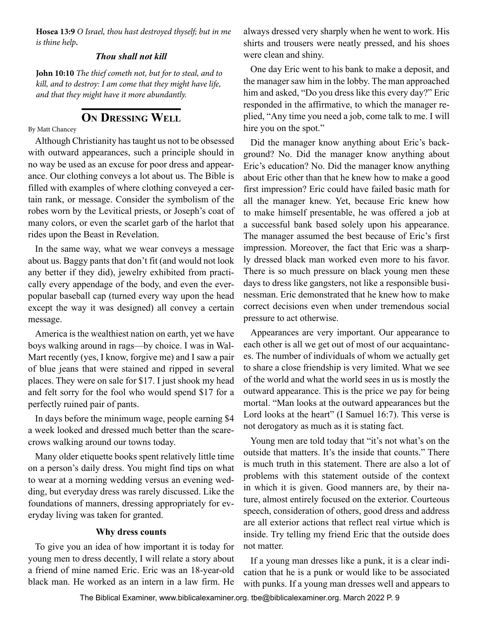<span id="page-8-0"></span>**Hosea 13:9** *O Israel, thou hast destroyed thyself; but in me is thine help.*

#### *Thou shall not kill*

**John 10:10** *The thief cometh not, but for to steal, and to kill, and to destroy: I am come that they might have life, and that they might have it more abundantly.*

### **On Dressing Well**

By Matt Chancey

Although Christianity has taught us not to be obsessed with outward appearances, such a principle should in no way be used as an excuse for poor dress and appearance. Our clothing conveys a lot about us. The Bible is filled with examples of where clothing conveyed a certain rank, or message. Consider the symbolism of the robes worn by the Levitical priests, or Joseph's coat of many colors, or even the scarlet garb of the harlot that rides upon the Beast in Revelation.

In the same way, what we wear conveys a message about us. Baggy pants that don't fit (and would not look any better if they did), jewelry exhibited from practically every appendage of the body, and even the everpopular baseball cap (turned every way upon the head except the way it was designed) all convey a certain message.

America is the wealthiest nation on earth, yet we have boys walking around in rags—by choice. I was in Wal-Mart recently (yes, I know, forgive me) and I saw a pair of blue jeans that were stained and ripped in several places. They were on sale for \$17. I just shook my head and felt sorry for the fool who would spend \$17 for a perfectly ruined pair of pants.

In days before the minimum wage, people earning \$4 a week looked and dressed much better than the scarecrows walking around our towns today.

Many older etiquette books spent relatively little time on a person's daily dress. You might find tips on what to wear at a morning wedding versus an evening wedding, but everyday dress was rarely discussed. Like the foundations of manners, dressing appropriately for everyday living was taken for granted.

#### **Why dress counts**

To give you an idea of how important it is today for young men to dress decently, I will relate a story about a friend of mine named Eric. Eric was an 18-year-old black man. He worked as an intern in a law firm. He

always dressed very sharply when he went to work. His shirts and trousers were neatly pressed, and his shoes were clean and shiny.

One day Eric went to his bank to make a deposit, and the manager saw him in the lobby. The man approached him and asked, "Do you dress like this every day?" Eric responded in the affirmative, to which the manager replied, "Any time you need a job, come talk to me. I will hire you on the spot."

Did the manager know anything about Eric's background? No. Did the manager know anything about Eric's education? No. Did the manager know anything about Eric other than that he knew how to make a good first impression? Eric could have failed basic math for all the manager knew. Yet, because Eric knew how to make himself presentable, he was offered a job at a successful bank based solely upon his appearance. The manager assumed the best because of Eric's first impression. Moreover, the fact that Eric was a sharply dressed black man worked even more to his favor. There is so much pressure on black young men these days to dress like gangsters, not like a responsible businessman. Eric demonstrated that he knew how to make correct decisions even when under tremendous social pressure to act otherwise.

Appearances are very important. Our appearance to each other is all we get out of most of our acquaintances. The number of individuals of whom we actually get to share a close friendship is very limited. What we see of the world and what the world sees in us is mostly the outward appearance. This is the price we pay for being mortal. "Man looks at the outward appearances but the Lord looks at the heart" (I Samuel 16:7). This verse is not derogatory as much as it is stating fact.

Young men are told today that "it's not what's on the outside that matters. It's the inside that counts." There is much truth in this statement. There are also a lot of problems with this statement outside of the context in which it is given. Good manners are, by their nature, almost entirely focused on the exterior. Courteous speech, consideration of others, good dress and address are all exterior actions that reflect real virtue which is inside. Try telling my friend Eric that the outside does not matter.

If a young man dresses like a punk, it is a clear indication that he is a punk or would like to be associated with punks. If a young man dresses well and appears to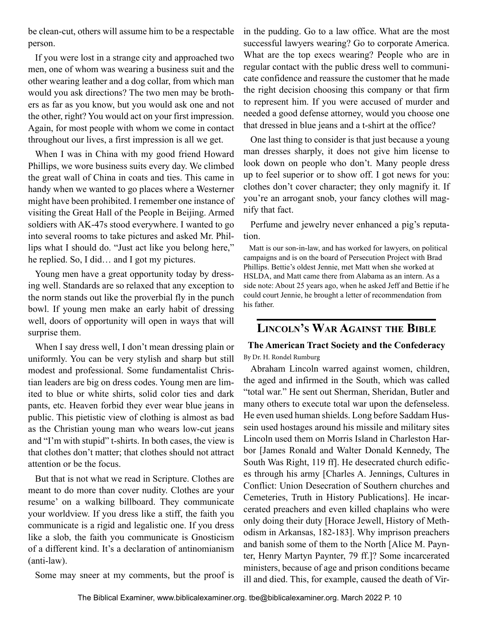<span id="page-9-0"></span>be clean-cut, others will assume him to be a respectable person.

If you were lost in a strange city and approached two men, one of whom was wearing a business suit and the other wearing leather and a dog collar, from which man would you ask directions? The two men may be brothers as far as you know, but you would ask one and not the other, right? You would act on your first impression. Again, for most people with whom we come in contact throughout our lives, a first impression is all we get.

When I was in China with my good friend Howard Phillips, we wore business suits every day. We climbed the great wall of China in coats and ties. This came in handy when we wanted to go places where a Westerner might have been prohibited. I remember one instance of visiting the Great Hall of the People in Beijing. Armed soldiers with AK-47s stood everywhere. I wanted to go into several rooms to take pictures and asked Mr. Phillips what I should do. "Just act like you belong here," he replied. So, I did… and I got my pictures.

Young men have a great opportunity today by dressing well. Standards are so relaxed that any exception to the norm stands out like the proverbial fly in the punch bowl. If young men make an early habit of dressing well, doors of opportunity will open in ways that will surprise them.

When I say dress well, I don't mean dressing plain or uniformly. You can be very stylish and sharp but still modest and professional. Some fundamentalist Christian leaders are big on dress codes. Young men are limited to blue or white shirts, solid color ties and dark pants, etc. Heaven forbid they ever wear blue jeans in public. This pietistic view of clothing is almost as bad as the Christian young man who wears low-cut jeans and "I'm with stupid" t-shirts. In both cases, the view is that clothes don't matter; that clothes should not attract attention or be the focus.

But that is not what we read in Scripture. Clothes are meant to do more than cover nudity. Clothes are your resume' on a walking billboard. They communicate your worldview. If you dress like a stiff, the faith you communicate is a rigid and legalistic one. If you dress like a slob, the faith you communicate is Gnosticism of a different kind. It's a declaration of antinomianism (anti-law).

Some may sneer at my comments, but the proof is

in the pudding. Go to a law office. What are the most successful lawyers wearing? Go to corporate America. What are the top execs wearing? People who are in regular contact with the public dress well to communicate confidence and reassure the customer that he made the right decision choosing this company or that firm to represent him. If you were accused of murder and needed a good defense attorney, would you choose one that dressed in blue jeans and a t-shirt at the office?

One last thing to consider is that just because a young man dresses sharply, it does not give him license to look down on people who don't. Many people dress up to feel superior or to show off. I got news for you: clothes don't cover character; they only magnify it. If you're an arrogant snob, your fancy clothes will magnify that fact.

Perfume and jewelry never enhanced a pig's reputation.

Matt is our son-in-law, and has worked for lawyers, on political campaigns and is on the board of Persecution Project with Brad Phillips. Bettie's oldest Jennie, met Matt when she worked at HSLDA, and Matt came there from Alabama as an intern. As a side note: About 25 years ago, when he asked Jeff and Bettie if he could court Jennie, he brought a letter of recommendation from his father.

## **Lincoln's War Against the Bible**

#### **The American Tract Society and the Confederacy** By Dr. H. Rondel Rumburg

Abraham Lincoln warred against women, children, the aged and infirmed in the South, which was called "total war." He sent out Sherman, Sheridan, Butler and many others to execute total war upon the defenseless. He even used human shields. Long before Saddam Hussein used hostages around his missile and military sites Lincoln used them on Morris Island in Charleston Harbor [James Ronald and Walter Donald Kennedy, The South Was Right, 119 ff]. He desecrated church edifices through his army [Charles A. Jennings, Cultures in Conflict: Union Desecration of Southern churches and Cemeteries, Truth in History Publications]. He incarcerated preachers and even killed chaplains who were only doing their duty [Horace Jewell, History of Methodism in Arkansas, 182-183]. Why imprison preachers and banish some of them to the North [Alice M. Paynter, Henry Martyn Paynter, 79 ff.]? Some incarcerated ministers, because of age and prison conditions became ill and died. This, for example, caused the death of Vir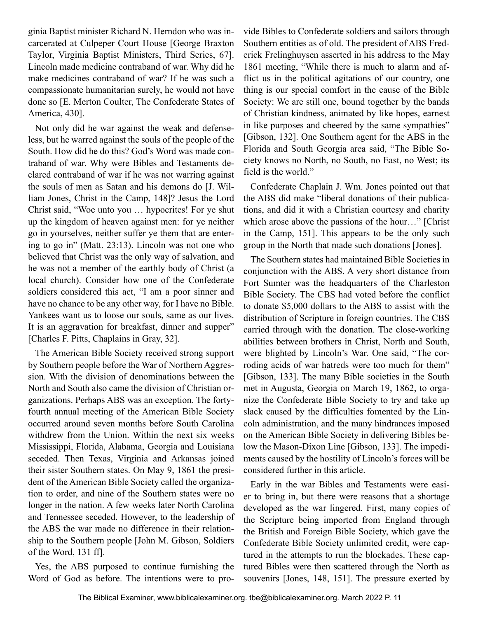ginia Baptist minister Richard N. Herndon who was incarcerated at Culpeper Court House [George Braxton Taylor, Virginia Baptist Ministers, Third Series, 67]. Lincoln made medicine contraband of war. Why did he make medicines contraband of war? If he was such a compassionate humanitarian surely, he would not have done so [E. Merton Coulter, The Confederate States of America, 430].

Not only did he war against the weak and defenseless, but he warred against the souls of the people of the South. How did he do this? God's Word was made contraband of war. Why were Bibles and Testaments declared contraband of war if he was not warring against the souls of men as Satan and his demons do [J. William Jones, Christ in the Camp, 148]? Jesus the Lord Christ said, "Woe unto you … hypocrites! For ye shut up the kingdom of heaven against men: for ye neither go in yourselves, neither suffer ye them that are entering to go in" (Matt. 23:13). Lincoln was not one who believed that Christ was the only way of salvation, and he was not a member of the earthly body of Christ (a local church). Consider how one of the Confederate soldiers considered this act, "I am a poor sinner and have no chance to be any other way, for I have no Bible. Yankees want us to loose our souls, same as our lives. It is an aggravation for breakfast, dinner and supper" [Charles F. Pitts, Chaplains in Gray, 32].

The American Bible Society received strong support by Southern people before the War of Northern Aggression. With the division of denominations between the North and South also came the division of Christian organizations. Perhaps ABS was an exception. The fortyfourth annual meeting of the American Bible Society occurred around seven months before South Carolina withdrew from the Union. Within the next six weeks Mississippi, Florida, Alabama, Georgia and Louisiana seceded. Then Texas, Virginia and Arkansas joined their sister Southern states. On May 9, 1861 the president of the American Bible Society called the organization to order, and nine of the Southern states were no longer in the nation. A few weeks later North Carolina and Tennessee seceded. However, to the leadership of the ABS the war made no difference in their relationship to the Southern people [John M. Gibson, Soldiers of the Word, 131 ff].

Yes, the ABS purposed to continue furnishing the Word of God as before. The intentions were to provide Bibles to Confederate soldiers and sailors through Southern entities as of old. The president of ABS Frederick Frelinghuysen asserted in his address to the May 1861 meeting, "While there is much to alarm and afflict us in the political agitations of our country, one thing is our special comfort in the cause of the Bible Society: We are still one, bound together by the bands of Christian kindness, animated by like hopes, earnest in like purposes and cheered by the same sympathies" [Gibson, 132]. One Southern agent for the ABS in the Florida and South Georgia area said, "The Bible Society knows no North, no South, no East, no West; its field is the world."

Confederate Chaplain J. Wm. Jones pointed out that the ABS did make "liberal donations of their publications, and did it with a Christian courtesy and charity which arose above the passions of the hour…" [Christ in the Camp, 151]. This appears to be the only such group in the North that made such donations [Jones].

The Southern states had maintained Bible Societies in conjunction with the ABS. A very short distance from Fort Sumter was the headquarters of the Charleston Bible Society. The CBS had voted before the conflict to donate \$5,000 dollars to the ABS to assist with the distribution of Scripture in foreign countries. The CBS carried through with the donation. The close-working abilities between brothers in Christ, North and South, were blighted by Lincoln's War. One said, "The corroding acids of war hatreds were too much for them" [Gibson, 133]. The many Bible societies in the South met in Augusta, Georgia on March 19, 1862, to organize the Confederate Bible Society to try and take up slack caused by the difficulties fomented by the Lincoln administration, and the many hindrances imposed on the American Bible Society in delivering Bibles below the Mason-Dixon Line [Gibson, 133]. The impediments caused by the hostility of Lincoln's forces will be considered further in this article.

Early in the war Bibles and Testaments were easier to bring in, but there were reasons that a shortage developed as the war lingered. First, many copies of the Scripture being imported from England through the British and Foreign Bible Society, which gave the Confederate Bible Society unlimited credit, were captured in the attempts to run the blockades. These captured Bibles were then scattered through the North as souvenirs [Jones, 148, 151]. The pressure exerted by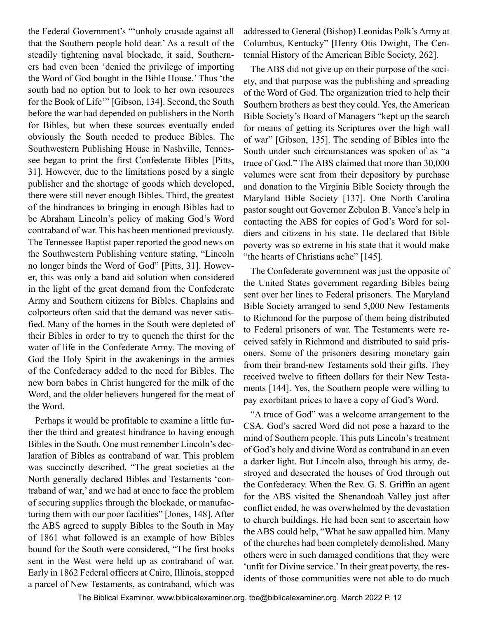the Federal Government's "'unholy crusade against all that the Southern people hold dear.' As a result of the steadily tightening naval blockade, it said, Southerners had even been 'denied the privilege of importing the Word of God bought in the Bible House.' Thus 'the south had no option but to look to her own resources for the Book of Life'" [Gibson, 134]. Second, the South before the war had depended on publishers in the North for Bibles, but when these sources eventually ended obviously the South needed to produce Bibles. The Southwestern Publishing House in Nashville, Tennessee began to print the first Confederate Bibles [Pitts, 31]. However, due to the limitations posed by a single publisher and the shortage of goods which developed, there were still never enough Bibles. Third, the greatest of the hindrances to bringing in enough Bibles had to be Abraham Lincoln's policy of making God's Word contraband of war. This has been mentioned previously. The Tennessee Baptist paper reported the good news on the Southwestern Publishing venture stating, "Lincoln no longer binds the Word of God" [Pitts, 31]. However, this was only a band aid solution when considered in the light of the great demand from the Confederate Army and Southern citizens for Bibles. Chaplains and colporteurs often said that the demand was never satisfied. Many of the homes in the South were depleted of their Bibles in order to try to quench the thirst for the water of life in the Confederate Army. The moving of God the Holy Spirit in the awakenings in the armies of the Confederacy added to the need for Bibles. The new born babes in Christ hungered for the milk of the Word, and the older believers hungered for the meat of the Word.

Perhaps it would be profitable to examine a little further the third and greatest hindrance to having enough Bibles in the South. One must remember Lincoln's declaration of Bibles as contraband of war. This problem was succinctly described, "The great societies at the North generally declared Bibles and Testaments 'contraband of war,' and we had at once to face the problem of securing supplies through the blockade, or manufacturing them with our poor facilities" [Jones, 148]. After the ABS agreed to supply Bibles to the South in May of 1861 what followed is an example of how Bibles bound for the South were considered, "The first books sent in the West were held up as contraband of war. Early in 1862 Federal officers at Cairo, Illinois, stopped a parcel of New Testaments, as contraband, which was addressed to General (Bishop) Leonidas Polk's Army at Columbus, Kentucky" [Henry Otis Dwight, The Centennial History of the American Bible Society, 262].

The ABS did not give up on their purpose of the society, and that purpose was the publishing and spreading of the Word of God. The organization tried to help their Southern brothers as best they could. Yes, the American Bible Society's Board of Managers "kept up the search for means of getting its Scriptures over the high wall of war" [Gibson, 135]. The sending of Bibles into the South under such circumstances was spoken of as "a truce of God." The ABS claimed that more than 30,000 volumes were sent from their depository by purchase and donation to the Virginia Bible Society through the Maryland Bible Society [137]. One North Carolina pastor sought out Governor Zebulon B. Vance's help in contacting the ABS for copies of God's Word for soldiers and citizens in his state. He declared that Bible poverty was so extreme in his state that it would make "the hearts of Christians ache" [145].

The Confederate government was just the opposite of the United States government regarding Bibles being sent over her lines to Federal prisoners. The Maryland Bible Society arranged to send 5,000 New Testaments to Richmond for the purpose of them being distributed to Federal prisoners of war. The Testaments were received safely in Richmond and distributed to said prisoners. Some of the prisoners desiring monetary gain from their brand-new Testaments sold their gifts. They received twelve to fifteen dollars for their New Testaments [144]. Yes, the Southern people were willing to pay exorbitant prices to have a copy of God's Word.

"A truce of God" was a welcome arrangement to the CSA. God's sacred Word did not pose a hazard to the mind of Southern people. This puts Lincoln's treatment of God's holy and divine Word as contraband in an even a darker light. But Lincoln also, through his army, destroyed and desecrated the houses of God through out the Confederacy. When the Rev. G. S. Griffin an agent for the ABS visited the Shenandoah Valley just after conflict ended, he was overwhelmed by the devastation to church buildings. He had been sent to ascertain how the ABS could help, "What he saw appalled him. Many of the churches had been completely demolished. Many others were in such damaged conditions that they were 'unfit for Divine service.' In their great poverty, the residents of those communities were not able to do much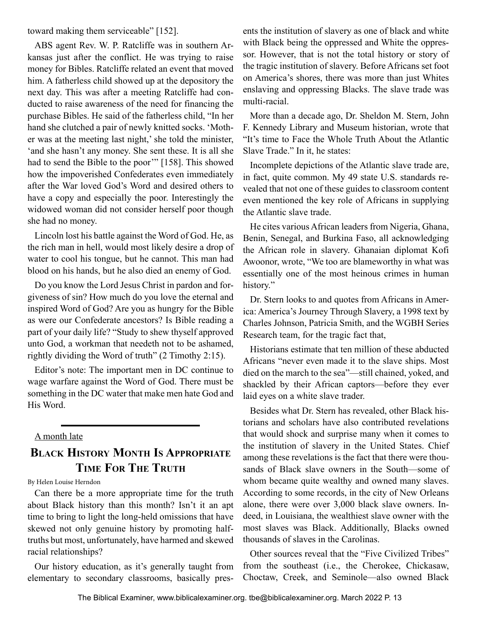<span id="page-12-0"></span>toward making them serviceable" [152].

ABS agent Rev. W. P. Ratcliffe was in southern Arkansas just after the conflict. He was trying to raise money for Bibles. Ratcliffe related an event that moved him. A fatherless child showed up at the depository the next day. This was after a meeting Ratcliffe had conducted to raise awareness of the need for financing the purchase Bibles. He said of the fatherless child, "In her hand she clutched a pair of newly knitted socks. 'Mother was at the meeting last night,' she told the minister, 'and she hasn't any money. She sent these. It is all she had to send the Bible to the poor" [158]. This showed how the impoverished Confederates even immediately after the War loved God's Word and desired others to have a copy and especially the poor. Interestingly the widowed woman did not consider herself poor though she had no money.

Lincoln lost his battle against the Word of God. He, as the rich man in hell, would most likely desire a drop of water to cool his tongue, but he cannot. This man had blood on his hands, but he also died an enemy of God.

Do you know the Lord Jesus Christ in pardon and forgiveness of sin? How much do you love the eternal and inspired Word of God? Are you as hungry for the Bible as were our Confederate ancestors? Is Bible reading a part of your daily life? "Study to shew thyself approved unto God, a workman that needeth not to be ashamed, rightly dividing the Word of truth" (2 Timothy 2:15).

Editor's note: The important men in DC continue to wage warfare against the Word of God. There must be something in the DC water that make men hate God and His Word.

#### A month late

## **Black History Month Is Appropriate Time For The Truth**

By Helen Louise Herndon

Can there be a more appropriate time for the truth about Black history than this month? Isn't it an apt time to bring to light the long-held omissions that have skewed not only genuine history by promoting halftruths but most, unfortunately, have harmed and skewed racial relationships?

Our history education, as it's generally taught from elementary to secondary classrooms, basically pres-

ents the institution of slavery as one of black and white with Black being the oppressed and White the oppressor. However, that is not the total history or story of the tragic institution of slavery. Before Africans set foot on America's shores, there was more than just Whites enslaving and oppressing Blacks. The slave trade was multi-racial.

More than a decade ago, Dr. Sheldon M. Stern, John F. Kennedy Library and Museum historian, wrote that "It's time to Face the Whole Truth About the Atlantic Slave Trade." In it, he states:

Incomplete depictions of the Atlantic slave trade are, in fact, quite common. My 49 state U.S. standards revealed that not one of these guides to classroom content even mentioned the key role of Africans in supplying the Atlantic slave trade.

He cites various African leaders from Nigeria, Ghana, Benin, Senegal, and Burkina Faso, all acknowledging the African role in slavery. Ghanaian diplomat Kofi Awoonor, wrote, "We too are blameworthy in what was essentially one of the most heinous crimes in human history."

Dr. Stern looks to and quotes from Africans in America: America's Journey Through Slavery, a 1998 text by Charles Johnson, Patricia Smith, and the WGBH Series Research team, for the tragic fact that,

Historians estimate that ten million of these abducted Africans "never even made it to the slave ships. Most died on the march to the sea"—still chained, yoked, and shackled by their African captors—before they ever laid eyes on a white slave trader.

Besides what Dr. Stern has revealed, other Black historians and scholars have also contributed revelations that would shock and surprise many when it comes to the institution of slavery in the United States. Chief among these revelations is the fact that there were thousands of Black slave owners in the South—some of whom became quite wealthy and owned many slaves. According to some records, in the city of New Orleans alone, there were over 3,000 black slave owners. Indeed, in Louisiana, the wealthiest slave owner with the most slaves was Black. Additionally, Blacks owned thousands of slaves in the Carolinas.

Other sources reveal that the "Five Civilized Tribes" from the southeast (i.e., the Cherokee, Chickasaw, Choctaw, Creek, and Seminole—also owned Black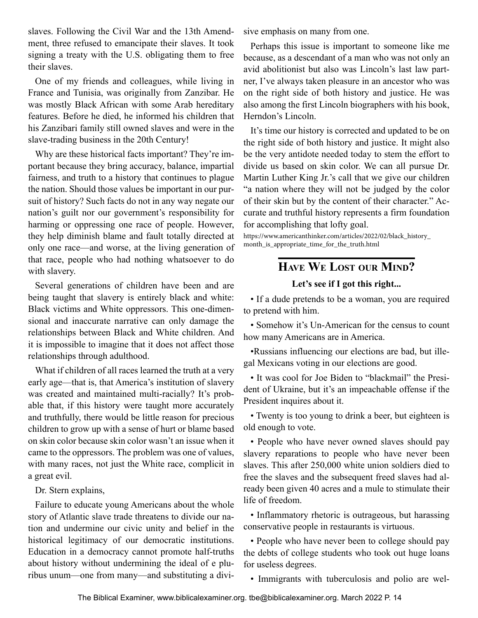<span id="page-13-0"></span>slaves. Following the Civil War and the 13th Amendment, three refused to emancipate their slaves. It took signing a treaty with the U.S. obligating them to free their slaves.

One of my friends and colleagues, while living in France and Tunisia, was originally from Zanzibar. He was mostly Black African with some Arab hereditary features. Before he died, he informed his children that his Zanzibari family still owned slaves and were in the slave-trading business in the 20th Century!

Why are these historical facts important? They're important because they bring accuracy, balance, impartial fairness, and truth to a history that continues to plague the nation. Should those values be important in our pursuit of history? Such facts do not in any way negate our nation's guilt nor our government's responsibility for harming or oppressing one race of people. However, they help diminish blame and fault totally directed at only one race—and worse, at the living generation of that race, people who had nothing whatsoever to do with slavery.

Several generations of children have been and are being taught that slavery is entirely black and white: Black victims and White oppressors. This one-dimensional and inaccurate narrative can only damage the relationships between Black and White children. And it is impossible to imagine that it does not affect those relationships through adulthood.

What if children of all races learned the truth at a very early age—that is, that America's institution of slavery was created and maintained multi-racially? It's probable that, if this history were taught more accurately and truthfully, there would be little reason for precious children to grow up with a sense of hurt or blame based on skin color because skin color wasn't an issue when it came to the oppressors. The problem was one of values, with many races, not just the White race, complicit in a great evil.

Dr. Stern explains,

Failure to educate young Americans about the whole story of Atlantic slave trade threatens to divide our nation and undermine our civic unity and belief in the historical legitimacy of our democratic institutions. Education in a democracy cannot promote half-truths about history without undermining the ideal of e pluribus unum—one from many—and substituting a divisive emphasis on many from one.

Perhaps this issue is important to someone like me because, as a descendant of a man who was not only an avid abolitionist but also was Lincoln's last law partner, I've always taken pleasure in an ancestor who was on the right side of both history and justice. He was also among the first Lincoln biographers with his book, Herndon's Lincoln.

It's time our history is corrected and updated to be on the right side of both history and justice. It might also be the very antidote needed today to stem the effort to divide us based on skin color. We can all pursue Dr. Martin Luther King Jr.'s call that we give our children "a nation where they will not be judged by the color of their skin but by the content of their character." Accurate and truthful history represents a firm foundation for accomplishing that lofty goal.

https://www.americanthinker.com/articles/2022/02/black\_history\_ month\_is\_appropriate\_time\_for\_the\_truth.html

## **Have We Lost our Mind?**

#### **Let's see if I got this right...**

• If a dude pretends to be a woman, you are required to pretend with him.

• Somehow it's Un-American for the census to count how many Americans are in America.

•Russians influencing our elections are bad, but illegal Mexicans voting in our elections are good.

• It was cool for Joe Biden to "blackmail" the President of Ukraine, but it's an impeachable offense if the President inquires about it.

• Twenty is too young to drink a beer, but eighteen is old enough to vote.

• People who have never owned slaves should pay slavery reparations to people who have never been slaves. This after 250,000 white union soldiers died to free the slaves and the subsequent freed slaves had already been given 40 acres and a mule to stimulate their life of freedom.

• Inflammatory rhetoric is outrageous, but harassing conservative people in restaurants is virtuous.

• People who have never been to college should pay the debts of college students who took out huge loans for useless degrees.

• Immigrants with tuberculosis and polio are wel-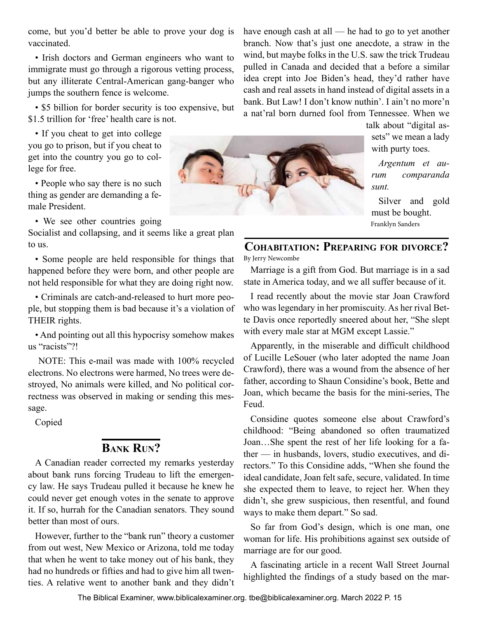<span id="page-14-0"></span>come, but you'd better be able to prove your dog is vaccinated.

• Irish doctors and German engineers who want to immigrate must go through a rigorous vetting process, but any illiterate Central-American gang-banger who jumps the southern fence is welcome.

• \$5 billion for border security is too expensive, but \$1.5 trillion for 'free' health care is not.

• If you cheat to get into college you go to prison, but if you cheat to get into the country you go to college for free.

• People who say there is no such thing as gender are demanding a female President.

• We see other countries going

Socialist and collapsing, and it seems like a great plan to us.

• Some people are held responsible for things that happened before they were born, and other people are not held responsible for what they are doing right now.

• Criminals are catch-and-released to hurt more people, but stopping them is bad because it's a violation of THEIR rights.

• And pointing out all this hypocrisy somehow makes us "racists"?!

 NOTE: This e-mail was made with 100% recycled electrons. No electrons were harmed, No trees were destroyed, No animals were killed, and No political correctness was observed in making or sending this message.

Copied

## **Bank Run?**

A Canadian reader corrected my remarks yesterday about bank runs forcing Trudeau to lift the emergency law. He says Trudeau pulled it because he knew he could never get enough votes in the senate to approve it. If so, hurrah for the Canadian senators. They sound better than most of ours.

However, further to the "bank run" theory a customer from out west, New Mexico or Arizona, told me today that when he went to take money out of his bank, they had no hundreds or fifties and had to give him all twenties. A relative went to another bank and they didn't have enough cash at all — he had to go to yet another branch. Now that's just one anecdote, a straw in the wind, but maybe folks in the U.S. saw the trick Trudeau pulled in Canada and decided that a before a similar idea crept into Joe Biden's head, they'd rather have cash and real assets in hand instead of digital assets in a bank. But Law! I don't know nuthin'. I ain't no more'n a nat'ral born durned fool from Tennessee. When we

talk about "digital assets" we mean a lady with purty toes.

*Argentum et aurum comparanda sunt.*

Silver and gold must be bought. Franklyn Sanders

## **Cohabitation: Preparing for divorce?**

By Jerry Newcombe

Marriage is a gift from God. But marriage is in a sad state in America today, and we all suffer because of it.

I read recently about the movie star Joan Crawford who was legendary in her promiscuity. As her rival Bette Davis once reportedly sneered about her, "She slept with every male star at MGM except Lassie."

Apparently, in the miserable and difficult childhood of Lucille LeSouer (who later adopted the name Joan Crawford), there was a wound from the absence of her father, according to Shaun Considine's book, Bette and Joan, which became the basis for the mini-series, The Feud.

Considine quotes someone else about Crawford's childhood: "Being abandoned so often traumatized Joan…She spent the rest of her life looking for a father — in husbands, lovers, studio executives, and directors." To this Considine adds, "When she found the ideal candidate, Joan felt safe, secure, validated. In time she expected them to leave, to reject her. When they didn't, she grew suspicious, then resentful, and found ways to make them depart." So sad.

So far from God's design, which is one man, one woman for life. His prohibitions against sex outside of marriage are for our good.

A fascinating article in a recent Wall Street Journal highlighted the findings of a study based on the mar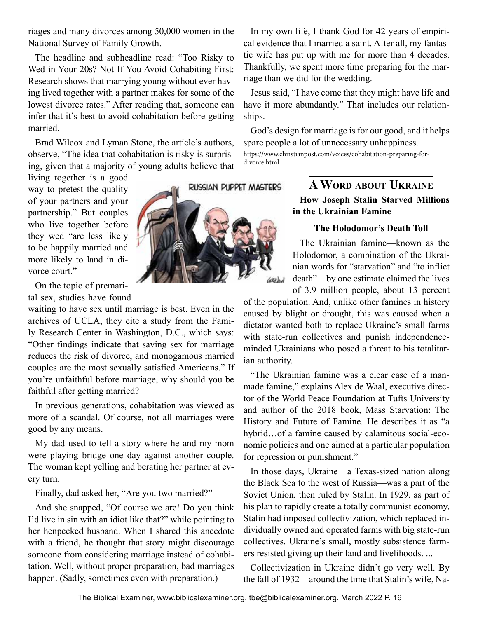<span id="page-15-0"></span>riages and many divorces among 50,000 women in the National Survey of Family Growth.

The headline and subheadline read: "Too Risky to Wed in Your 20s? Not If You Avoid Cohabiting First: Research shows that marrying young without ever having lived together with a partner makes for some of the lowest divorce rates." After reading that, someone can infer that it's best to avoid cohabitation before getting married.

Brad Wilcox and Lyman Stone, the article's authors, observe, "The idea that cohabitation is risky is surprising, given that a majority of young adults believe that

living together is a good way to pretest the quality of your partners and your partnership." But couples who live together before they wed "are less likely to be happily married and more likely to land in divorce court."

On the topic of premari-

tal sex, studies have found

waiting to have sex until marriage is best. Even in the archives of UCLA, they cite a study from the Family Research Center in Washington, D.C., which says: "Other findings indicate that saving sex for marriage reduces the risk of divorce, and monogamous married couples are the most sexually satisfied Americans." If you're unfaithful before marriage, why should you be faithful after getting married?

In previous generations, cohabitation was viewed as more of a scandal. Of course, not all marriages were good by any means.

My dad used to tell a story where he and my mom were playing bridge one day against another couple. The woman kept yelling and berating her partner at every turn.

Finally, dad asked her, "Are you two married?"

And she snapped, "Of course we are! Do you think I'd live in sin with an idiot like that?" while pointing to her henpecked husband. When I shared this anecdote with a friend, he thought that story might discourage someone from considering marriage instead of cohabitation. Well, without proper preparation, bad marriages happen. (Sadly, sometimes even with preparation.)



In my own life, I thank God for 42 years of empirical evidence that I married a saint. After all, my fantastic wife has put up with me for more than 4 decades. Thankfully, we spent more time preparing for the marriage than we did for the wedding.

Jesus said, "I have come that they might have life and have it more abundantly." That includes our relationships.

God's design for marriage is for our good, and it helps spare people a lot of unnecessary unhappiness. https://www.christianpost.com/voices/cohabitation-preparing-fordivorce.html

### **A Word about Ukraine How Joseph Stalin Starved Millions in the Ukrainian Famine**

#### **The Holodomor's Death Toll**

The Ukrainian famine—known as the Holodomor, a combination of the Ukrainian words for "starvation" and "to inflict death"—by one estimate claimed the lives of 3.9 million people, about 13 percent

of the population. And, unlike other famines in history caused by blight or drought, this was caused when a dictator wanted both to replace Ukraine's small farms with state-run collectives and punish independenceminded Ukrainians who posed a threat to his totalitarian authority.

"The Ukrainian famine was a clear case of a manmade famine," explains Alex de Waal, executive director of the World Peace Foundation at Tufts University and author of the 2018 book, Mass Starvation: The History and Future of Famine. He describes it as "a hybrid…of a famine caused by calamitous social-economic policies and one aimed at a particular population for repression or punishment."

In those days, Ukraine—a Texas-sized nation along the Black Sea to the west of Russia—was a part of the Soviet Union, then ruled by Stalin. In 1929, as part of his plan to rapidly create a totally communist economy, Stalin had imposed collectivization, which replaced individually owned and operated farms with big state-run collectives. Ukraine's small, mostly subsistence farmers resisted giving up their land and livelihoods. ...

Collectivization in Ukraine didn't go very well. By the fall of 1932—around the time that Stalin's wife, Na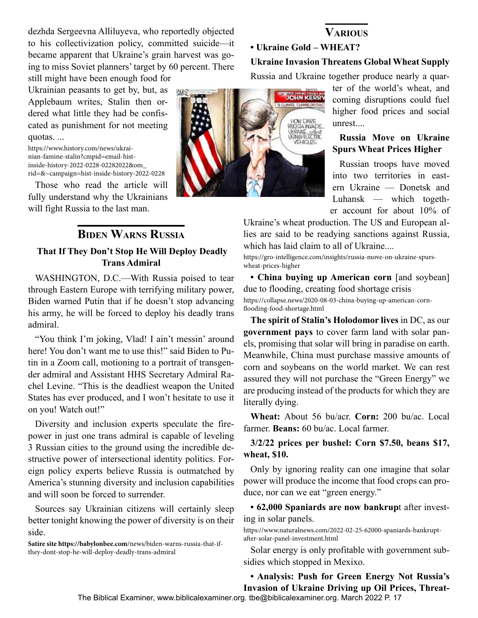<span id="page-16-0"></span>dezhda Sergeevna Alliluyeva, who reportedly objected to his collectivization policy, committed suicide—it became apparent that Ukraine's grain harvest was going to miss Soviet planners' target by 60 percent. There still might have been enough food for

Ukrainian peasants to get by, but, as Applebaum writes, Stalin then ordered what little they had be confiscated as punishment for not meeting quotas. ...

https://www.history.com/news/ukrainian-famine-stalin?cmpid=email-histinside-history-2022-0228-02282022&om\_ rid=&~campaign=hist-inside-history-2022-0228

Those who read the article will fully understand why the Ukrainians will fight Russia to the last man.

### **Biden Warns Russia That If They Don't Stop He Will Deploy Deadly Trans Admiral**

WASHINGTON, D.C.—With Russia poised to tear through Eastern Europe with terrifying military power, Biden warned Putin that if he doesn't stop advancing his army, he will be forced to deploy his deadly trans admiral.

"You think I'm joking, Vlad! I ain't messin' around here! You don't want me to use this!" said Biden to Putin in a Zoom call, motioning to a portrait of transgender admiral and Assistant HHS Secretary Admiral Rachel Levine. "This is the deadliest weapon the United States has ever produced, and I won't hesitate to use it on you! Watch out!"

Diversity and inclusion experts speculate the firepower in just one trans admiral is capable of leveling 3 Russian cities to the ground using the incredible destructive power of intersectional identity politics. Foreign policy experts believe Russia is outmatched by America's stunning diversity and inclusion capabilities and will soon be forced to surrender.

Sources say Ukrainian citizens will certainly sleep better tonight knowing the power of diversity is on their side.

**Satire site https://babylonbee.com**/news/biden-warns-russia-that-ifthey-dont-stop-he-will-deploy-deadly-trans-admiral

# **• Ukraine Gold – WHEAT? Ukraine Invasion Threatens Global Wheat Supply**

Russia and Ukraine together produce nearly a quar-

ter of the world's wheat, and coming disruptions could fuel higher food prices and social unrest....

#### **Russia Move on Ukraine Spurs Wheat Prices Higher**

Russian troops have moved into two territories in eastern Ukraine — Donetsk and Luhansk — which together account for about 10% of

Ukraine's wheat production. The US and European allies are said to be readying sanctions against Russia, which has laid claim to all of Ukraine....

https://gro-intelligence.com/insights/russia-move-on-ukraine-spurswheat-prices-higher

**• China buying up American corn** [and soybean] due to flooding, creating food shortage crisis https://collapse.news/2020-08-03-china-buying-up-american-cornflooding-food-shortage.html

**The spirit of Stalin's Holodomor lives** in DC, as our **government pays** to cover farm land with solar panels, promising that solar will bring in paradise on earth. Meanwhile, China must purchase massive amounts of corn and soybeans on the world market. We can rest assured they will not purchase the "Green Energy" we are producing instead of the products for which they are literally dying.

**Wheat:** About 56 bu/acr. **Corn:** 200 bu/ac. Local farmer. **Beans:** 60 bu/ac. Local farmer.

**3/2/22 prices per bushel: Corn \$7.50, beans \$17, wheat, \$10.**

Only by ignoring reality can one imagine that solar power will produce the income that food crops can produce, nor can we eat "green energy."

**• 62,000 Spaniards are now bankrup**t after investing in solar panels.

https://www.naturalnews.com/2022-02-25-62000-spaniards-bankruptafter-solar-panel-investment.html

Solar energy is only profitable with government subsidies which stopped in Mexixo.

**• Analysis: Push for Green Energy Not Russia's Invasion of Ukraine Driving up Oil Prices, Threat-**

The Biblical Examiner, www.biblicalexaminer.org. tbe@biblicalexaminer.org. March 2022 P. 17



## **Various**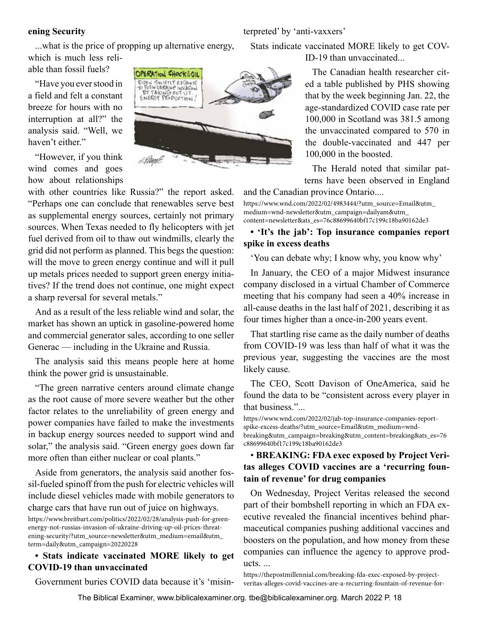#### **ening Security**

...what is the price of propping up alternative energy, which is much less reli-

able than fossil fuels?

"Have you ever stood in a field and felt a constant breeze for hours with no interruption at all?" the analysis said. "Well, we haven't either."

"However, if you think wind comes and goes how about relationships

with other countries like Russia?" the report asked. "Perhaps one can conclude that renewables serve best as supplemental energy sources, certainly not primary sources. When Texas needed to fly helicopters with jet fuel derived from oil to thaw out windmills, clearly the grid did not perform as planned. This begs the question: will the move to green energy continue and will it pull up metals prices needed to support green energy initiatives? If the trend does not continue, one might expect a sharp reversal for several metals."

And as a result of the less reliable wind and solar, the market has shown an uptick in gasoline-powered home and commercial generator sales, according to one seller Generac — including in the Ukraine and Russia.

The analysis said this means people here at home think the power grid is unsustainable.

"The green narrative centers around climate change as the root cause of more severe weather but the other factor relates to the unreliability of green energy and power companies have failed to make the investments in backup energy sources needed to support wind and solar," the analysis said. "Green energy goes down far more often than either nuclear or coal plants."

Aside from generators, the analysis said another fossil-fueled spinoff from the push for electric vehicles will include diesel vehicles made with mobile generators to charge cars that have run out of juice on highways.

#### **• Stats indicate vaccinated MORE likely to get COVID-19 than unvaccinated**

Government buries COVID data because it's 'misin-

Stats indicate vaccinated MORE likely to get COV-ID-19 than unvaccinated...

The Canadian health researcher cited a table published by PHS showing that by the week beginning Jan. 22, the age-standardized COVID case rate per 100,000 in Scotland was 381.5 among the unvaccinated compared to 570 in the double-vaccinated and 447 per 100,000 in the boosted.

The Herald noted that similar patterns have been observed in England

and the Canadian province Ontario....

terpreted' by 'anti-vaxxers'

https://www.wnd.com/2022/02/4983444/?utm\_source=Email&utm\_ medium=wnd-newsletter&utm\_campaign=dailyam&utm\_ content=newsletter&ats\_es=76c88699640bf17c199c18ba90162de3

#### **• 'It's the jab': Top insurance companies report spike in excess deaths**

'You can debate why; I know why, you know why'

In January, the CEO of a major Midwest insurance company disclosed in a virtual Chamber of Commerce meeting that his company had seen a 40% increase in all-cause deaths in the last half of 2021, describing it as four times higher than a once-in-200 years event.

That startling rise came as the daily number of deaths from COVID-19 was less than half of what it was the previous year, suggesting the vaccines are the most likely cause.

The CEO, Scott Davison of OneAmerica, said he found the data to be "consistent across every player in that business."...

https://www.wnd.com/2022/02/jab-top-insurance-companies-reportspike-excess-deaths/?utm\_source=Email&utm\_medium=wndbreaking&utm\_campaign=breaking&utm\_content=breaking&ats\_es=76 c88699640bf17c199c18ba90162de3

#### • **BREAKING: FDA exec exposed by Project Veritas alleges COVID vaccines are a 'recurring fountain of revenue' for drug companies**

On Wednesday, Project Veritas released the second part of their bombshell reporting in which an FDA executive revealed the financial incentives behind pharmaceutical companies pushing additional vaccines and boosters on the population, and how money from these companies can influence the agency to approve products. ...

https://thepostmillennial.com/breaking-fda-exec-exposed-by-projectveritas-alleges-covid-vaccines-are-a-recurring-fountain-of-revenue-for-



The Biblical Examiner, www.biblicalexaminer.org. tbe@biblicalexaminer.org. March 2022 P. 18

https://www.breitbart.com/politics/2022/02/28/analysis-push-for-greenenergy-not-russias-invasion-of-ukraine-driving-up-oil-prices-threatening-security/?utm\_source=newsletter&utm\_medium=email&utm\_ term=daily&utm\_campaign=20220228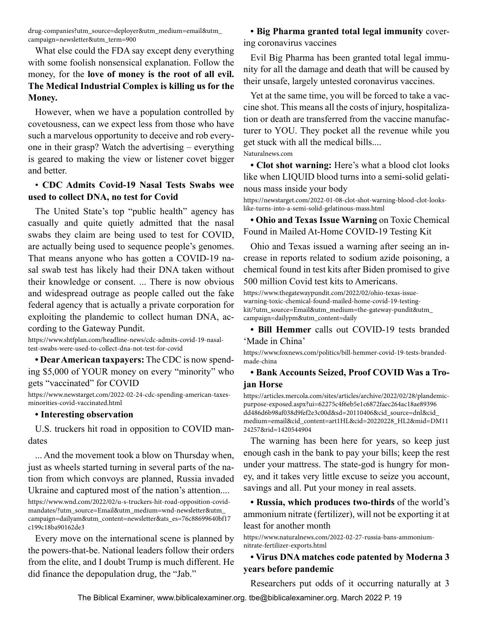drug-companies?utm\_source=deployer&utm\_medium=email&utm\_ campaign=newsletter&utm\_term=900

What else could the FDA say except deny everything with some foolish nonsensical explanation. Follow the money, for the **love of money is the root of all evil. The Medical Industrial Complex is killing us for the Money.**

However, when we have a population controlled by covetousness, can we expect less from those who have such a marvelous opportunity to deceive and rob everyone in their grasp? Watch the advertising – everything is geared to making the view or listener covet bigger and better.

#### • **CDC Admits Covid-19 Nasal Tests Swabs wee used to collect DNA, no test for Covid**

The United State's top "public health" agency has casually and quite quietly admitted that the nasal swabs they claim are being used to test for COVID, are actually being used to sequence people's genomes. That means anyone who has gotten a COVID-19 nasal swab test has likely had their DNA taken without their knowledge or consent. ... There is now obvious and widespread outrage as people called out the fake federal agency that is actually a private corporation for exploiting the plandemic to collect human DNA, according to the Gateway Pundit.

https://www.shtfplan.com/headline-news/cdc-admits-covid-19-nasaltest-swabs-were-used-to-collect-dna-not-test-for-covid

**• Dear American taxpayers:** The CDC is now spending \$5,000 of YOUR money on every "minority" who gets "vaccinated" for COVID

https://www.newstarget.com/2022-02-24-cdc-spending-american-taxesminorities-covid-vaccinated.html

#### **• Interesting observation**

U.S. truckers hit road in opposition to COVID mandates

... And the movement took a blow on Thursday when, just as wheels started turning in several parts of the nation from which convoys are planned, Russia invaded Ukraine and captured most of the nation's attention....

Every move on the international scene is planned by the powers-that-be. National leaders follow their orders from the elite, and I doubt Trump is much different. He did finance the depopulation drug, the "Jab."

**• Big Pharma granted total legal immunity** covering coronavirus vaccines

Evil Big Pharma has been granted total legal immunity for all the damage and death that will be caused by their unsafe, largely untested coronavirus vaccines.

Yet at the same time, you will be forced to take a vaccine shot. This means all the costs of injury, hospitalization or death are transferred from the vaccine manufacturer to YOU. They pocket all the revenue while you get stuck with all the medical bills.... Naturalnews.com

**• Clot shot warning:** Here's what a blood clot looks like when LIQUID blood turns into a semi-solid gelatinous mass inside your body

https://newstarget.com/2022-01-08-clot-shot-warning-blood-clot-lookslike-turns-into-a-semi-solid-gelatinous-mass.html

**• Ohio and Texas Issue Warning** on Toxic Chemical Found in Mailed At-Home COVID-19 Testing Kit

Ohio and Texas issued a warning after seeing an increase in reports related to sodium azide poisoning, a chemical found in test kits after Biden promised to give 500 million Covid test kits to Americans.

https://www.thegatewaypundit.com/2022/02/ohio-texas-issuewarning-toxic-chemical-found-mailed-home-covid-19-testingkit/?utm\_source=Email&utm\_medium=the-gateway-pundit&utm\_ campaign=dailypm&utm\_content=daily

**• Bill Hemmer** calls out COVID-19 tests branded 'Made in China'

https://www.foxnews.com/politics/bill-hemmer-covid-19-tests-brandedmade-china

#### **• Bank Accounts Seized, Proof COVID Was a Trojan Horse**

https://articles.mercola.com/sites/articles/archive/2022/02/28/plandemicpurpose-exposed.aspx?ui=62275c4f6eb5e1c6872faec264ac18ae89396 dd486d6b98af038d9fef2e3c00d&sd=20110406&cid\_source=dnl&cid\_ medium=email&cid\_content=art1HL&cid=20220228\_HL2&mid=DM11 24257&rid=1420544904

The warning has been here for years, so keep just enough cash in the bank to pay your bills; keep the rest under your mattress. The state-god is hungry for money, and it takes very little excuse to seize you account, savings and all. Put your money in real assets.

**• Russia, which produces two-thirds** of the world's ammonium nitrate (fertilizer), will not be exporting it at least for another month

https://www.naturalnews.com/2022-02-27-russia-bans-ammoniumnitrate-fertilizer-exports.html

#### **• Virus DNA matches code patented by Moderna 3 years before pandemic**

Researchers put odds of it occurring naturally at 3

https://www.wnd.com/2022/02/u-s-truckers-hit-road-opposition-covidmandates/?utm\_source=Email&utm\_medium=wnd-newsletter&utm\_ campaign=dailyam&utm\_content=newsletter&ats\_es=76c88699640bf17 c199c18ba90162de3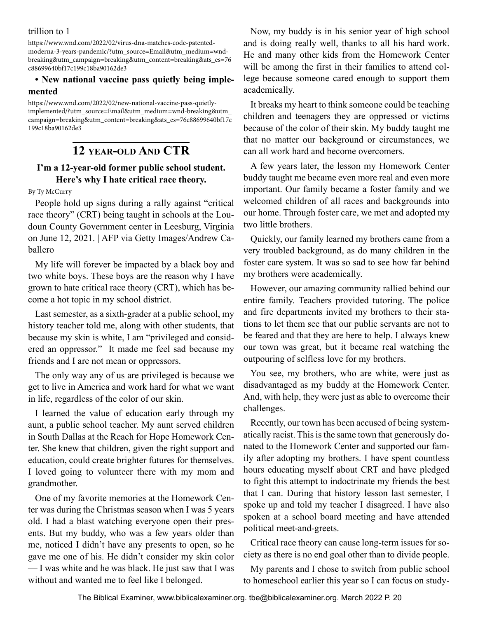<span id="page-19-0"></span>trillion to 1

https://www.wnd.com/2022/02/virus-dna-matches-code-patentedmoderna-3-years-pandemic/?utm\_source=Email&utm\_medium=wndbreaking&utm\_campaign=breaking&utm\_content=breaking&ats\_es=76 c88699640bf17c199c18ba90162de3

#### **• New national vaccine pass quietly being implemented**

https://www.wnd.com/2022/02/new-national-vaccine-pass-quietlyimplemented/?utm\_source=Email&utm\_medium=wnd-breaking&utm\_ campaign=breaking&utm\_content=breaking&ats\_es=76c88699640bf17c 199c18ba90162de3

## **12 year-old And CTR**

### **I'm a 12-year-old former public school student. Here's why I hate critical race theory.**

By Ty McCurry

People hold up signs during a rally against "critical race theory" (CRT) being taught in schools at the Loudoun County Government center in Leesburg, Virginia on June 12, 2021. | AFP via Getty Images/Andrew Caballero

My life will forever be impacted by a black boy and two white boys. These boys are the reason why I have grown to hate critical race theory (CRT), which has become a hot topic in my school district.

Last semester, as a sixth-grader at a public school, my history teacher told me, along with other students, that because my skin is white, I am "privileged and considered an oppressor." It made me feel sad because my friends and I are not mean or oppressors.

The only way any of us are privileged is because we get to live in America and work hard for what we want in life, regardless of the color of our skin.

I learned the value of education early through my aunt, a public school teacher. My aunt served children in South Dallas at the Reach for Hope Homework Center. She knew that children, given the right support and education, could create brighter futures for themselves. I loved going to volunteer there with my mom and grandmother.

One of my favorite memories at the Homework Center was during the Christmas season when I was 5 years old. I had a blast watching everyone open their presents. But my buddy, who was a few years older than me, noticed I didn't have any presents to open, so he gave me one of his. He didn't consider my skin color — I was white and he was black. He just saw that I was without and wanted me to feel like I belonged.

Now, my buddy is in his senior year of high school and is doing really well, thanks to all his hard work. He and many other kids from the Homework Center will be among the first in their families to attend college because someone cared enough to support them academically.

It breaks my heart to think someone could be teaching children and teenagers they are oppressed or victims because of the color of their skin. My buddy taught me that no matter our background or circumstances, we can all work hard and become overcomers.

A few years later, the lesson my Homework Center buddy taught me became even more real and even more important. Our family became a foster family and we welcomed children of all races and backgrounds into our home. Through foster care, we met and adopted my two little brothers.

Quickly, our family learned my brothers came from a very troubled background, as do many children in the foster care system. It was so sad to see how far behind my brothers were academically.

However, our amazing community rallied behind our entire family. Teachers provided tutoring. The police and fire departments invited my brothers to their stations to let them see that our public servants are not to be feared and that they are here to help. I always knew our town was great, but it became real watching the outpouring of selfless love for my brothers.

You see, my brothers, who are white, were just as disadvantaged as my buddy at the Homework Center. And, with help, they were just as able to overcome their challenges.

Recently, our town has been accused of being systematically racist. This is the same town that generously donated to the Homework Center and supported our family after adopting my brothers. I have spent countless hours educating myself about CRT and have pledged to fight this attempt to indoctrinate my friends the best that I can. During that history lesson last semester, I spoke up and told my teacher I disagreed. I have also spoken at a school board meeting and have attended political meet-and-greets.

Critical race theory can cause long-term issues for society as there is no end goal other than to divide people.

My parents and I chose to switch from public school to homeschool earlier this year so I can focus on study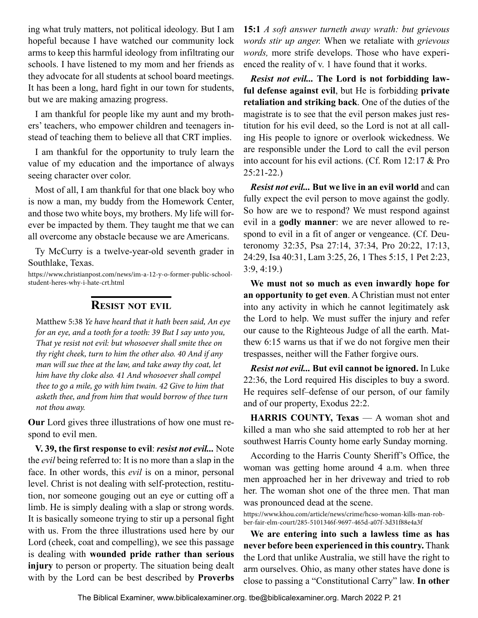<span id="page-20-0"></span>ing what truly matters, not political ideology. But I am hopeful because I have watched our community lock arms to keep this harmful ideology from infiltrating our schools. I have listened to my mom and her friends as they advocate for all students at school board meetings. It has been a long, hard fight in our town for students, but we are making amazing progress.

I am thankful for people like my aunt and my brothers' teachers, who empower children and teenagers instead of teaching them to believe all that CRT implies.

I am thankful for the opportunity to truly learn the value of my education and the importance of always seeing character over color.

Most of all, I am thankful for that one black boy who is now a man, my buddy from the Homework Center, and those two white boys, my brothers. My life will forever be impacted by them. They taught me that we can all overcome any obstacle because we are Americans.

Ty McCurry is a twelve-year-old seventh grader in Southlake, Texas.

https://www.christianpost.com/news/im-a-12-y-o-former-public-schoolstudent-heres-why-i-hate-crt.html

#### **Resist not evil**

Matthew 5:38 *Ye have heard that it hath been said, An eye for an eye, and a tooth for a tooth: 39 But I say unto you, That ye resist not evil: but whosoever shall smite thee on thy right cheek, turn to him the other also. 40 And if any man will sue thee at the law, and take away thy coat, let him have thy cloke also. 41 And whosoever shall compel thee to go a mile, go with him twain. 42 Give to him that asketh thee, and from him that would borrow of thee turn not thou away.*

**Our** Lord gives three illustrations of how one must respond to evil men.

**V. 39, the first response to evil**: *resist not evil...* Note the *evil* being referred to: It is no more than a slap in the face. In other words, this *evil* is on a minor, personal level. Christ is not dealing with self-protection, restitution, nor someone gouging out an eye or cutting off a limb. He is simply dealing with a slap or strong words. It is basically someone trying to stir up a personal fight with us. From the three illustrations used here by our Lord (cheek, coat and compelling), we see this passage is dealing with **wounded pride rather than serious injury** to person or property. The situation being dealt with by the Lord can be best described by **Proverbs**  **15:1** *A soft answer turneth away wrath: but grievous words stir up anger.* When we retaliate with *grievous words,* more strife develops. Those who have experienced the reality of v. 1 have found that it works.

*Resist not evil...* **The Lord is not forbidding lawful defense against evil**, but He is forbidding **private retaliation and striking back**. One of the duties of the magistrate is to see that the evil person makes just restitution for his evil deed, so the Lord is not at all calling His people to ignore or overlook wickedness. We are responsible under the Lord to call the evil person into account for his evil actions. (Cf. Rom 12:17 & Pro 25:21-22.)

*Resist not evil...* **But we live in an evil world** and can fully expect the evil person to move against the godly. So how are we to respond? We must respond against evil in a **godly manner**: we are never allowed to respond to evil in a fit of anger or vengeance. (Cf. Deuteronomy 32:35, Psa 27:14, 37:34, Pro 20:22, 17:13, 24:29, Isa 40:31, Lam 3:25, 26, 1 Thes 5:15, 1 Pet 2:23, 3:9, 4:19.)

**We must not so much as even inwardly hope for an opportunity to get even**. A Christian must not enter into any activity in which he cannot legitimately ask the Lord to help. We must suffer the injury and refer our cause to the Righteous Judge of all the earth. Matthew 6:15 warns us that if we do not forgive men their trespasses, neither will the Father forgive ours.

*Resist not evil...* **But evil cannot be ignored.** In Luke 22:36, the Lord required His disciples to buy a sword. He requires self–defense of our person, of our family and of our property, Exodus 22:2.

**HARRIS COUNTY, Texas** — A woman shot and killed a man who she said attempted to rob her at her southwest Harris County home early Sunday morning.

According to the Harris County Sheriff's Office, the woman was getting home around 4 a.m. when three men approached her in her driveway and tried to rob her. The woman shot one of the three men. That man was pronounced dead at the scene.

https://www.khou.com/article/news/crime/hcso-woman-kills-man-robber-fair-elm-court/285-5101346f-9697-465d-a07f-3d31f88e4a3f

**We are entering into such a lawless time as has never before been experienced in this country.** Thank the Lord that unlike Australia, we still have the right to arm ourselves. Ohio, as many other states have done is close to passing a "Constitutional Carry" law. **In other**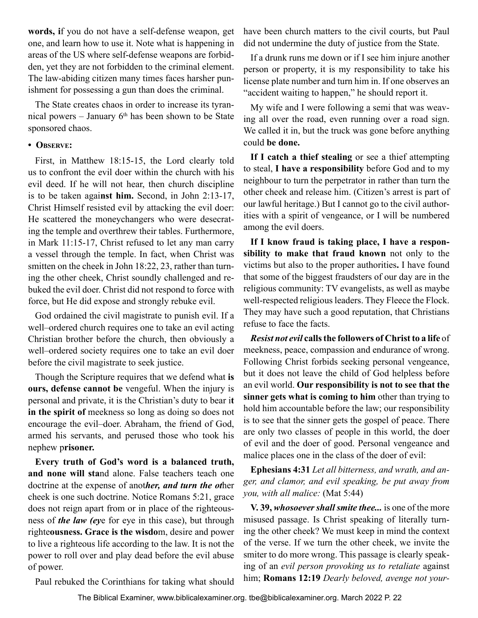**words, i**f you do not have a self-defense weapon, get one, and learn how to use it. Note what is happening in areas of the US where self-defense weapons are forbidden, yet they are not forbidden to the criminal element. The law-abiding citizen many times faces harsher punishment for possessing a gun than does the criminal.

The State creates chaos in order to increase its tyrannical powers – January 6th has been shown to be State sponsored chaos.

#### **• Observe:**

First, in Matthew 18:15-15, the Lord clearly told us to confront the evil doer within the church with his evil deed. If he will not hear, then church discipline is to be taken agai**nst him.** Second, in John 2:13-17, Christ Himself resisted evil by attacking the evil doer: He scattered the moneychangers who were desecrating the temple and overthrew their tables. Furthermore, in Mark 11:15-17, Christ refused to let any man carry a vessel through the temple. In fact, when Christ was smitten on the cheek in John 18:22, 23, rather than turning the other cheek, Christ soundly challenged and rebuked the evil doer. Christ did not respond to force with force, but He did expose and strongly rebuke evil.

God ordained the civil magistrate to punish evil. If a well–ordered church requires one to take an evil acting Christian brother before the church, then obviously a well–ordered society requires one to take an evil doer before the civil magistrate to seek justice.

Though the Scripture requires that we defend what **is ours, defense cannot be** vengeful. When the injury is personal and private, it is the Christian's duty to bear i**t in the spirit of** meekness so long as doing so does not encourage the evil–doer. Abraham, the friend of God, armed his servants, and perused those who took his nephew p**risoner.**

**Every truth of God's word is a balanced truth, and none will sta**nd alone. False teachers teach one doctrine at the expense of anot*her, and turn the ot*her cheek is one such doctrine. Notice Romans 5:21, grace does not reign apart from or in place of the righteousness of *the law (ey*e for eye in this case), but through righte**ousness. Grace is the wisdo**m, desire and power to live a righteous life according to the law. It is not the power to roll over and play dead before the evil abuse of power.

Paul rebuked the Corinthians for taking what should

have been church matters to the civil courts, but Paul did not undermine the duty of justice from the State.

If a drunk runs me down or if I see him injure another person or property, it is my responsibility to take his license plate number and turn him in. If one observes an "accident waiting to happen," he should report it.

My wife and I were following a semi that was weaving all over the road, even running over a road sign. We called it in, but the truck was gone before anything could **be done.**

**If I catch a thief stealing** or see a thief attempting to steal, **I have a responsibility** before God and to my neighbour to turn the perpetrator in rather than turn the other cheek and release him. (Citizen's arrest is part of our lawful heritage.) But I cannot go to the civil authorities with a spirit of vengeance, or I will be numbered among the evil doers.

**If I know fraud is taking place, I have a responsibility to make that fraud known** not only to the victims but also to the proper authorities**.** I have found that some of the biggest fraudsters of our day are in the religious community: TV evangelists, as well as maybe well-respected religious leaders. They Fleece the Flock. They may have such a good reputation, that Christians refuse to face the facts.

*Resist not evil* **calls the followers of Christ to a life** of meekness, peace, compassion and endurance of wrong. Following Christ forbids seeking personal vengeance, but it does not leave the child of God helpless before an evil world. **Our responsibility is not to see that the sinner gets what is coming to him** other than trying to hold him accountable before the law; our responsibility is to see that the sinner gets the gospel of peace. There are only two classes of people in this world, the doer of evil and the doer of good. Personal vengeance and malice places one in the class of the doer of evil:

**Ephesians 4:31** *Let all bitterness, and wrath, and anger, and clamor, and evil speaking, be put away from you, with all malice:* (Mat 5:44)

**V. 39,** *whosoever shall smite thee...* is one of the more misused passage. Is Christ speaking of literally turning the other cheek? We must keep in mind the context of the verse. If we turn the other cheek, we invite the smiter to do more wrong. This passage is clearly speaking of an *evil person provoking us to retaliate* against him; **Romans 12:19** *Dearly beloved, avenge not your-*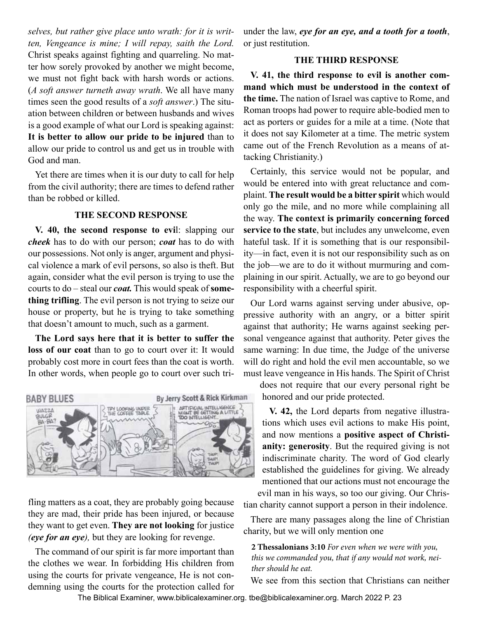<span id="page-22-0"></span>*selves, but rather give place unto wrath: for it is written, Vengeance is mine; I will repay, saith the Lord.* Christ speaks against fighting and quarreling. No matter how sorely provoked by another we might become, we must not fight back with harsh words or actions. (*A soft answer turneth away wrath*. We all have many times seen the good results of a *soft answer*.) The situation between children or between husbands and wives is a good example of what our Lord is speaking against: **It is better to allow our pride to be injured** than to allow our pride to control us and get us in trouble with God and man.

Yet there are times when it is our duty to call for help from the civil authority; there are times to defend rather than be robbed or killed.

#### **THE SECOND RESPONSE**

**V. 40, the second response to evi**l: slapping our *cheek* has to do with our person; *coat* has to do with our possessions. Not only is anger, argument and physical violence a mark of evil persons, so also is theft. But again, consider what the evil person is trying to use the courts to do – steal our *coat.* This would speak of **something trifling**. The evil person is not trying to seize our house or property, but he is trying to take something that doesn't amount to much, such as a garment.

**The Lord says here that it is better to suffer the loss of our coat** than to go to court over it: It would probably cost more in court fees than the coat is worth. In other words, when people go to court over such tri-



fling matters as a coat, they are probably going because they are mad, their pride has been injured, or because they want to get even. **They are not looking** for justice *(eye for an eye),* but they are looking for revenge.

The command of our spirit is far more important than the clothes we wear. In forbidding His children from using the courts for private vengeance, He is not condemning using the courts for the protection called for

under the law, *eye for an eye, and a tooth for a tooth*, or just restitution.

#### **THE THIRD RESPONSE**

**V. 41, the third response to evil is another command which must be understood in the context of the time.** The nation of Israel was captive to Rome, and Roman troops had power to require able-bodied men to act as porters or guides for a mile at a time. (Note that it does not say Kilometer at a time. The metric system came out of the French Revolution as a means of attacking Christianity.)

Certainly, this service would not be popular, and would be entered into with great reluctance and complaint. **The result would be a bitter spirit** which would only go the mile, and no more while complaining all the way. **The context is primarily concerning forced service to the state**, but includes any unwelcome, even hateful task. If it is something that is our responsibility—in fact, even it is not our responsibility such as on the job—we are to do it without murmuring and complaining in our spirit. Actually, we are to go beyond our responsibility with a cheerful spirit.

Our Lord warns against serving under abusive, oppressive authority with an angry, or a bitter spirit against that authority; He warns against seeking personal vengeance against that authority. Peter gives the same warning: In due time, the Judge of the universe will do right and hold the evil men accountable, so we must leave vengeance in His hands. The Spirit of Christ

does not require that our every personal right be honored and our pride protected.

**V. 42,** the Lord departs from negative illustrations which uses evil actions to make His point, and now mentions a **positive aspect of Christianity: generosity**. But the required giving is not indiscriminate charity. The word of God clearly established the guidelines for giving. We already mentioned that our actions must not encourage the evil man in his ways, so too our giving. Our Christian charity cannot support a person in their indolence.

There are many passages along the line of Christian charity, but we will only mention one

**2 Thessalonians 3:10** *For even when we were with you, this we commanded you, that if any would not work, neither should he eat.*

We see from this section that Christians can neither

The Biblical Examiner, www.biblicalexaminer.org. tbe@biblicalexaminer.org. March 2022 P. 23